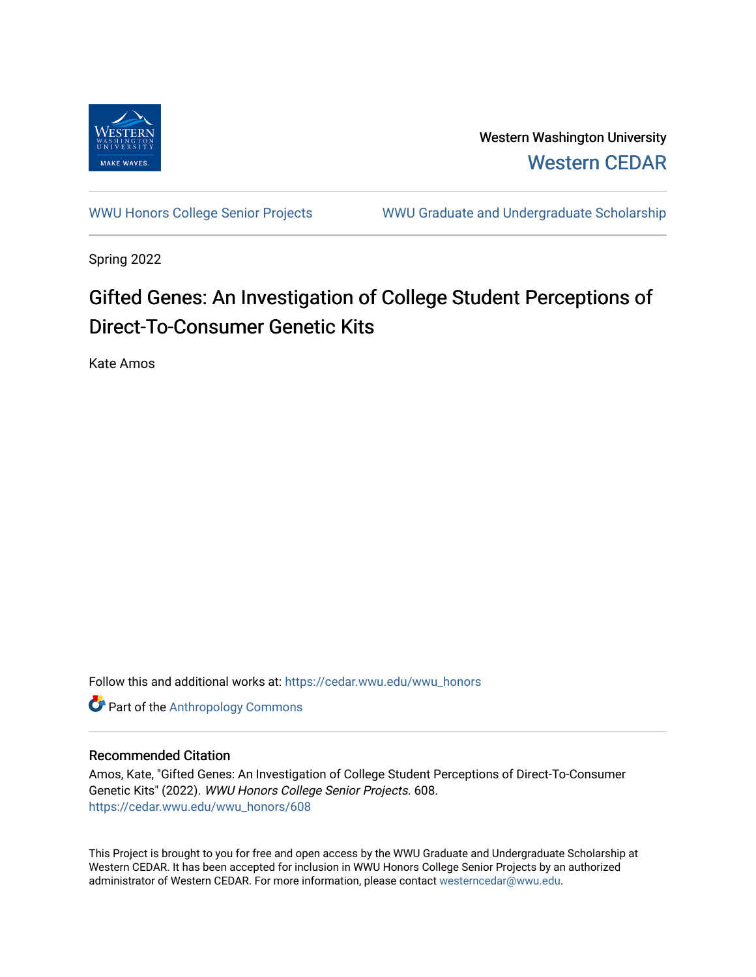

Western Washington University [Western CEDAR](https://cedar.wwu.edu/) 

[WWU Honors College Senior Projects](https://cedar.wwu.edu/wwu_honors) WWU Graduate and Undergraduate Scholarship

Spring 2022

## Gifted Genes: An Investigation of College Student Perceptions of Direct-To-Consumer Genetic Kits

Kate Amos

Follow this and additional works at: [https://cedar.wwu.edu/wwu\\_honors](https://cedar.wwu.edu/wwu_honors?utm_source=cedar.wwu.edu%2Fwwu_honors%2F608&utm_medium=PDF&utm_campaign=PDFCoverPages) 

**Part of the [Anthropology Commons](https://network.bepress.com/hgg/discipline/318?utm_source=cedar.wwu.edu%2Fwwu_honors%2F608&utm_medium=PDF&utm_campaign=PDFCoverPages)** 

#### Recommended Citation

Amos, Kate, "Gifted Genes: An Investigation of College Student Perceptions of Direct-To-Consumer Genetic Kits" (2022). WWU Honors College Senior Projects. 608. [https://cedar.wwu.edu/wwu\\_honors/608](https://cedar.wwu.edu/wwu_honors/608?utm_source=cedar.wwu.edu%2Fwwu_honors%2F608&utm_medium=PDF&utm_campaign=PDFCoverPages)

This Project is brought to you for free and open access by the WWU Graduate and Undergraduate Scholarship at Western CEDAR. It has been accepted for inclusion in WWU Honors College Senior Projects by an authorized administrator of Western CEDAR. For more information, please contact [westerncedar@wwu.edu](mailto:westerncedar@wwu.edu).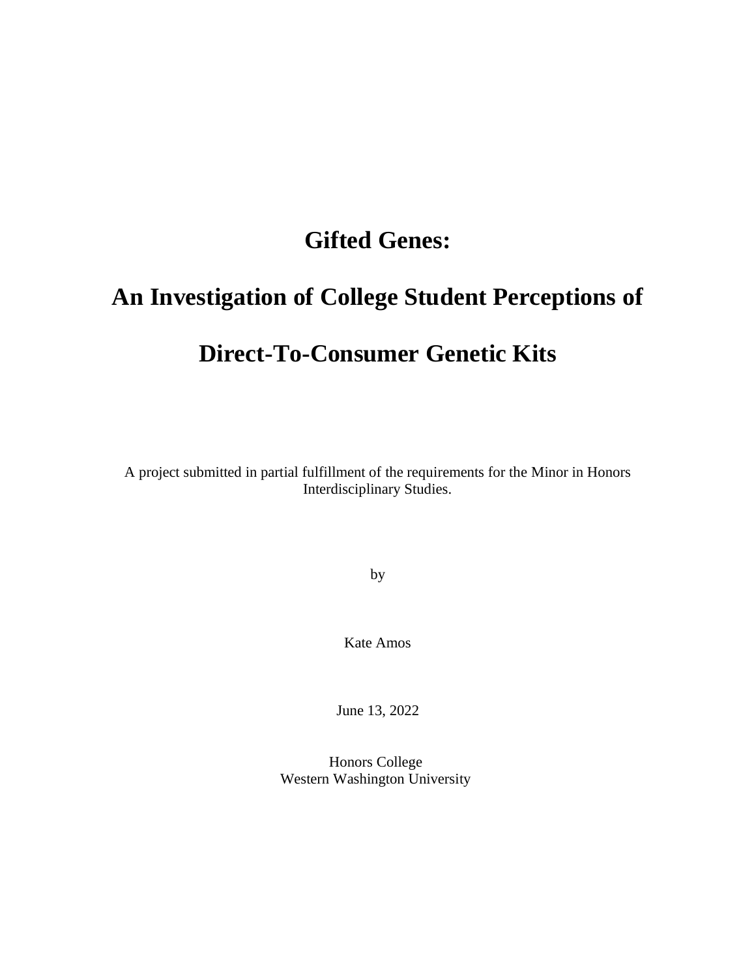# **Gifted Genes:**

# **An Investigation of College Student Perceptions of Direct-To-Consumer Genetic Kits**

A project submitted in partial fulfillment of the requirements for the Minor in Honors Interdisciplinary Studies.

by

Kate Amos

June 13, 2022

Honors College Western Washington University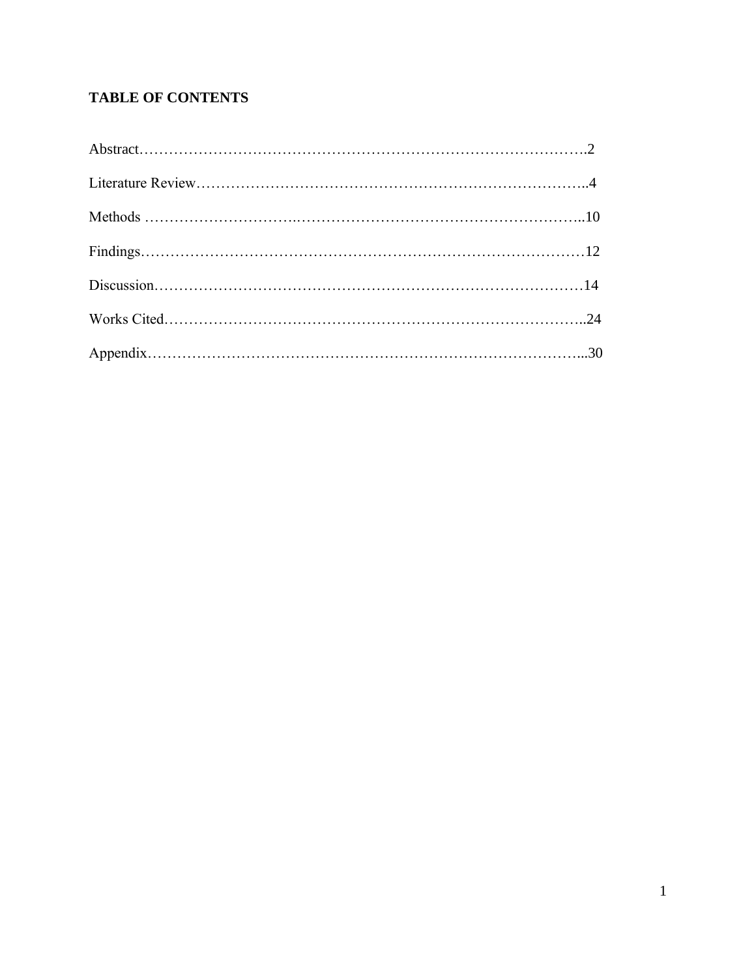## **TABLE OF CONTENTS**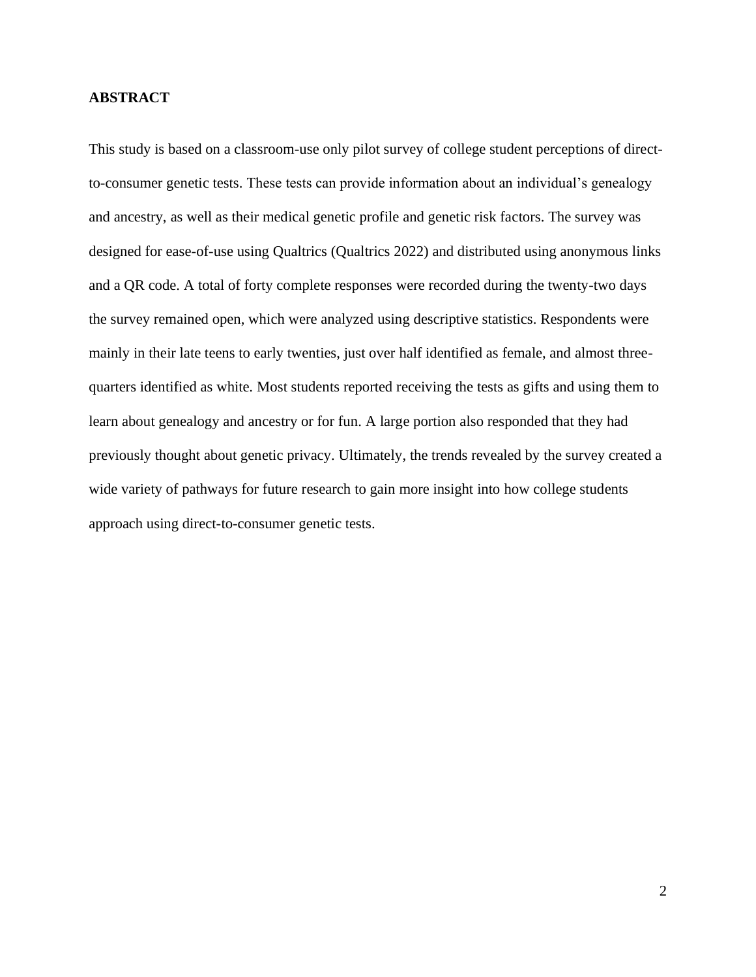#### **ABSTRACT**

This study is based on a classroom-use only pilot survey of college student perceptions of directto-consumer genetic tests. These tests can provide information about an individual's genealogy and ancestry, as well as their medical genetic profile and genetic risk factors. The survey was designed for ease-of-use using Qualtrics (Qualtrics 2022) and distributed using anonymous links and a QR code. A total of forty complete responses were recorded during the twenty-two days the survey remained open, which were analyzed using descriptive statistics. Respondents were mainly in their late teens to early twenties, just over half identified as female, and almost threequarters identified as white. Most students reported receiving the tests as gifts and using them to learn about genealogy and ancestry or for fun. A large portion also responded that they had previously thought about genetic privacy. Ultimately, the trends revealed by the survey created a wide variety of pathways for future research to gain more insight into how college students approach using direct-to-consumer genetic tests.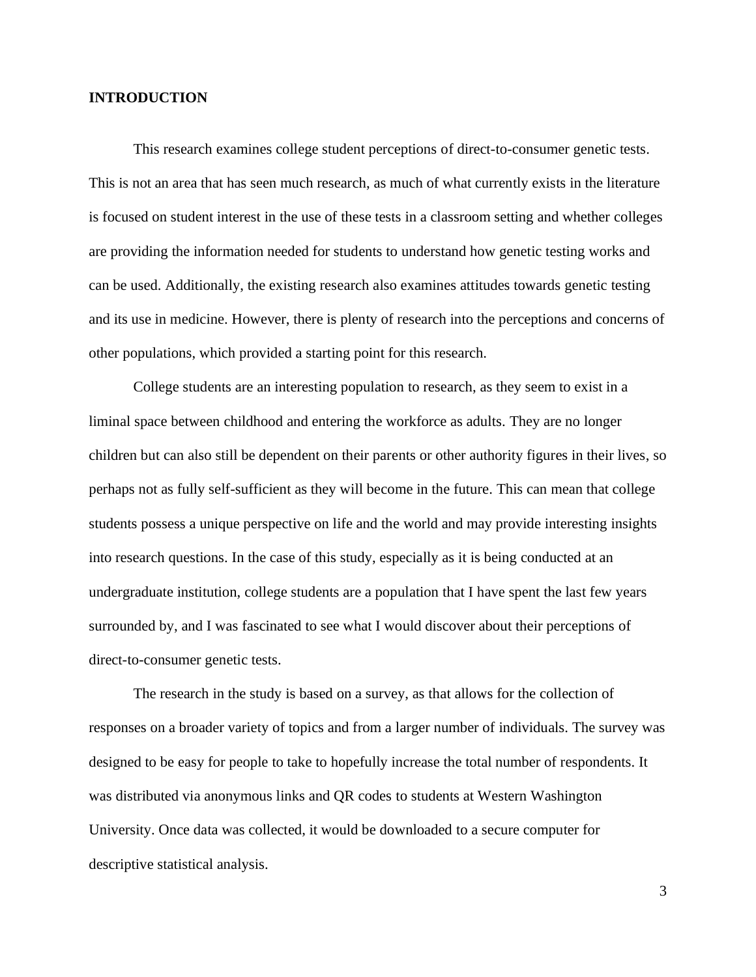#### **INTRODUCTION**

This research examines college student perceptions of direct-to-consumer genetic tests. This is not an area that has seen much research, as much of what currently exists in the literature is focused on student interest in the use of these tests in a classroom setting and whether colleges are providing the information needed for students to understand how genetic testing works and can be used. Additionally, the existing research also examines attitudes towards genetic testing and its use in medicine. However, there is plenty of research into the perceptions and concerns of other populations, which provided a starting point for this research.

College students are an interesting population to research, as they seem to exist in a liminal space between childhood and entering the workforce as adults. They are no longer children but can also still be dependent on their parents or other authority figures in their lives, so perhaps not as fully self-sufficient as they will become in the future. This can mean that college students possess a unique perspective on life and the world and may provide interesting insights into research questions. In the case of this study, especially as it is being conducted at an undergraduate institution, college students are a population that I have spent the last few years surrounded by, and I was fascinated to see what I would discover about their perceptions of direct-to-consumer genetic tests.

The research in the study is based on a survey, as that allows for the collection of responses on a broader variety of topics and from a larger number of individuals. The survey was designed to be easy for people to take to hopefully increase the total number of respondents. It was distributed via anonymous links and QR codes to students at Western Washington University. Once data was collected, it would be downloaded to a secure computer for descriptive statistical analysis.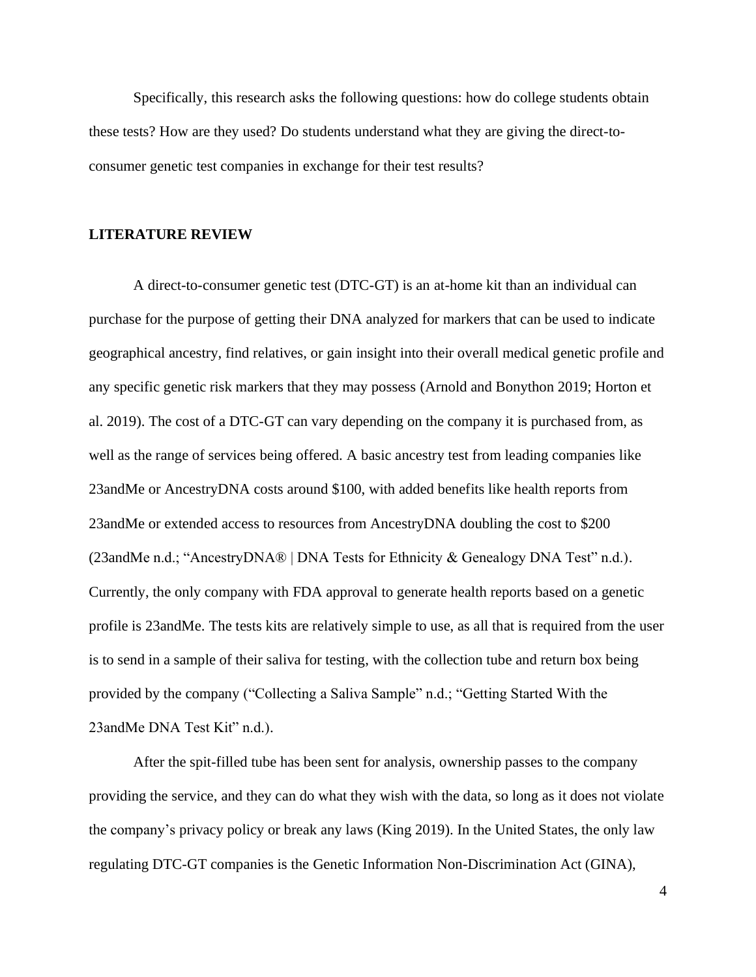Specifically, this research asks the following questions: how do college students obtain these tests? How are they used? Do students understand what they are giving the direct-toconsumer genetic test companies in exchange for their test results?

#### **LITERATURE REVIEW**

A direct-to-consumer genetic test (DTC-GT) is an at-home kit than an individual can purchase for the purpose of getting their DNA analyzed for markers that can be used to indicate geographical ancestry, find relatives, or gain insight into their overall medical genetic profile and any specific genetic risk markers that they may possess (Arnold and Bonython 2019; Horton et al. 2019). The cost of a DTC-GT can vary depending on the company it is purchased from, as well as the range of services being offered. A basic ancestry test from leading companies like 23andMe or AncestryDNA costs around \$100, with added benefits like health reports from 23andMe or extended access to resources from AncestryDNA doubling the cost to \$200 (23andMe n.d.; "AncestryDNA® | DNA Tests for Ethnicity & Genealogy DNA Test" n.d.). Currently, the only company with FDA approval to generate health reports based on a genetic profile is 23andMe. The tests kits are relatively simple to use, as all that is required from the user is to send in a sample of their saliva for testing, with the collection tube and return box being provided by the company ("Collecting a Saliva Sample" n.d.; "Getting Started With the 23andMe DNA Test Kit" n.d.).

After the spit-filled tube has been sent for analysis, ownership passes to the company providing the service, and they can do what they wish with the data, so long as it does not violate the company's privacy policy or break any laws (King 2019). In the United States, the only law regulating DTC-GT companies is the Genetic Information Non-Discrimination Act (GINA),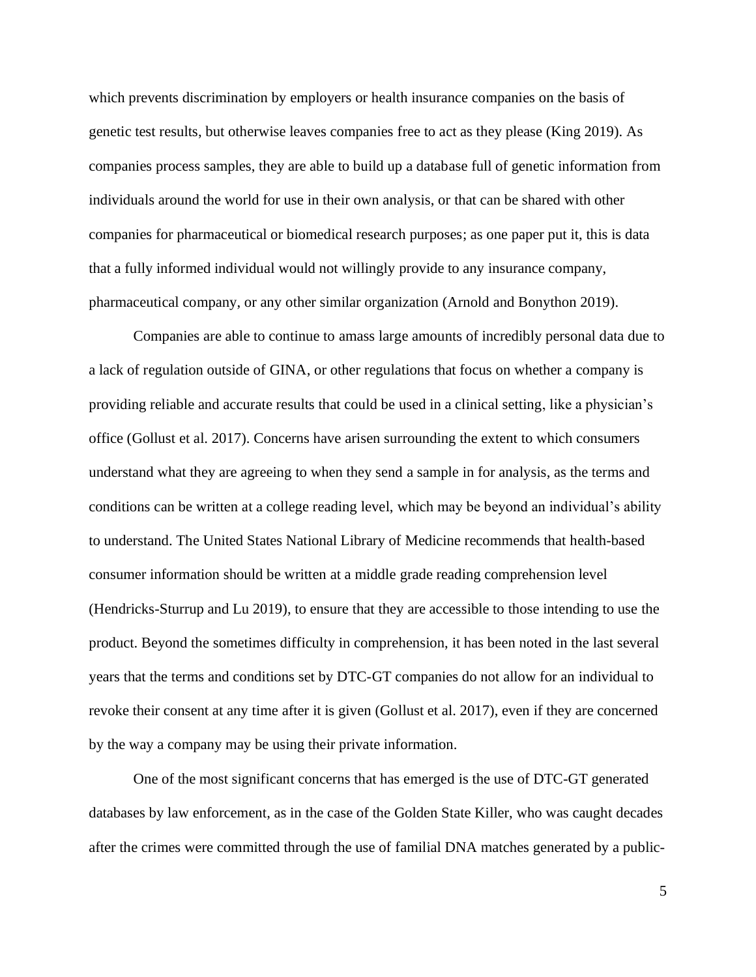which prevents discrimination by employers or health insurance companies on the basis of genetic test results, but otherwise leaves companies free to act as they please (King 2019). As companies process samples, they are able to build up a database full of genetic information from individuals around the world for use in their own analysis, or that can be shared with other companies for pharmaceutical or biomedical research purposes; as one paper put it, this is data that a fully informed individual would not willingly provide to any insurance company, pharmaceutical company, or any other similar organization (Arnold and Bonython 2019).

Companies are able to continue to amass large amounts of incredibly personal data due to a lack of regulation outside of GINA, or other regulations that focus on whether a company is providing reliable and accurate results that could be used in a clinical setting, like a physician's office (Gollust et al. 2017). Concerns have arisen surrounding the extent to which consumers understand what they are agreeing to when they send a sample in for analysis, as the terms and conditions can be written at a college reading level, which may be beyond an individual's ability to understand. The United States National Library of Medicine recommends that health-based consumer information should be written at a middle grade reading comprehension level (Hendricks-Sturrup and Lu 2019), to ensure that they are accessible to those intending to use the product. Beyond the sometimes difficulty in comprehension, it has been noted in the last several years that the terms and conditions set by DTC-GT companies do not allow for an individual to revoke their consent at any time after it is given (Gollust et al. 2017), even if they are concerned by the way a company may be using their private information.

One of the most significant concerns that has emerged is the use of DTC-GT generated databases by law enforcement, as in the case of the Golden State Killer, who was caught decades after the crimes were committed through the use of familial DNA matches generated by a public-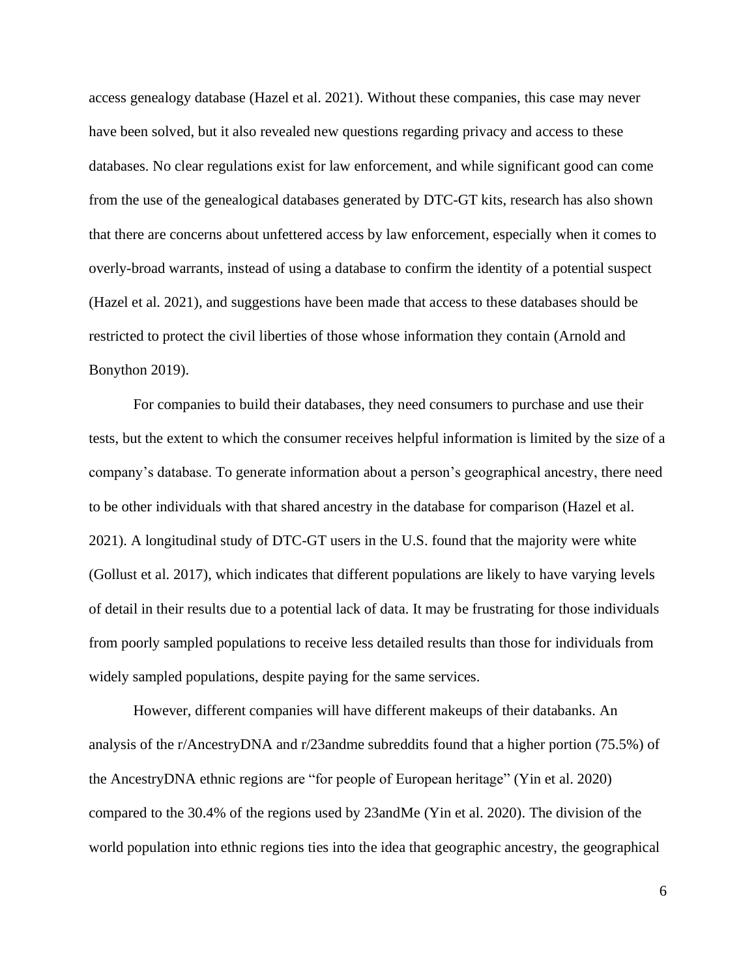access genealogy database (Hazel et al. 2021). Without these companies, this case may never have been solved, but it also revealed new questions regarding privacy and access to these databases. No clear regulations exist for law enforcement, and while significant good can come from the use of the genealogical databases generated by DTC-GT kits, research has also shown that there are concerns about unfettered access by law enforcement, especially when it comes to overly-broad warrants, instead of using a database to confirm the identity of a potential suspect (Hazel et al. 2021), and suggestions have been made that access to these databases should be restricted to protect the civil liberties of those whose information they contain (Arnold and Bonython 2019).

For companies to build their databases, they need consumers to purchase and use their tests, but the extent to which the consumer receives helpful information is limited by the size of a company's database. To generate information about a person's geographical ancestry, there need to be other individuals with that shared ancestry in the database for comparison (Hazel et al. 2021). A longitudinal study of DTC-GT users in the U.S. found that the majority were white (Gollust et al. 2017), which indicates that different populations are likely to have varying levels of detail in their results due to a potential lack of data. It may be frustrating for those individuals from poorly sampled populations to receive less detailed results than those for individuals from widely sampled populations, despite paying for the same services.

However, different companies will have different makeups of their databanks. An analysis of the r/AncestryDNA and r/23andme subreddits found that a higher portion (75.5%) of the AncestryDNA ethnic regions are "for people of European heritage" (Yin et al. 2020) compared to the 30.4% of the regions used by 23andMe (Yin et al. 2020). The division of the world population into ethnic regions ties into the idea that geographic ancestry, the geographical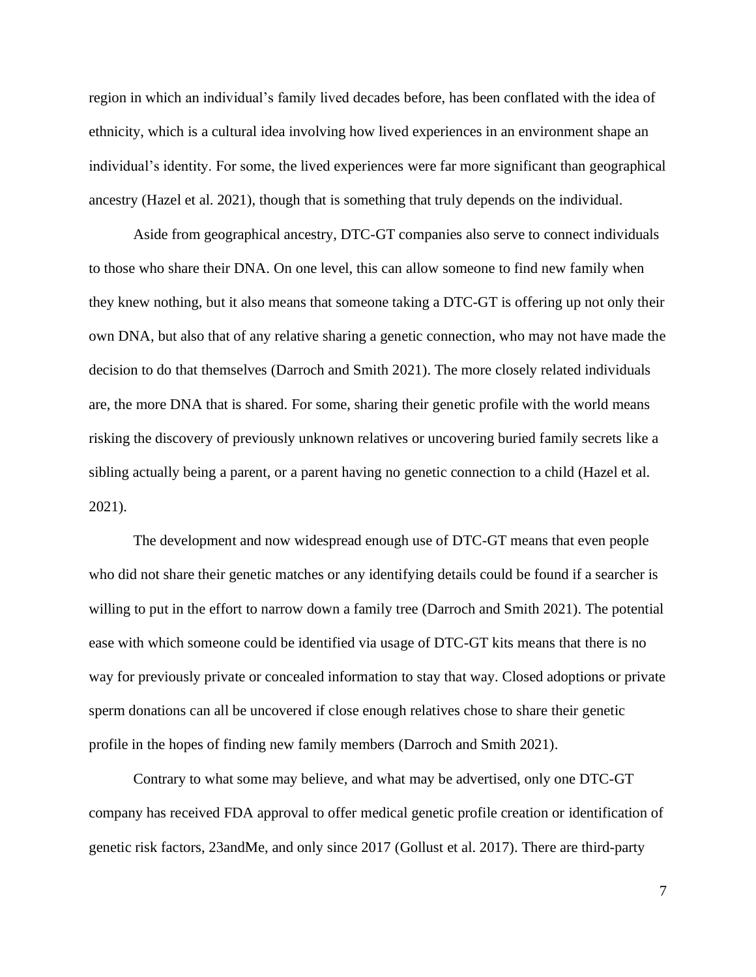region in which an individual's family lived decades before, has been conflated with the idea of ethnicity, which is a cultural idea involving how lived experiences in an environment shape an individual's identity. For some, the lived experiences were far more significant than geographical ancestry (Hazel et al. 2021), though that is something that truly depends on the individual.

Aside from geographical ancestry, DTC-GT companies also serve to connect individuals to those who share their DNA. On one level, this can allow someone to find new family when they knew nothing, but it also means that someone taking a DTC-GT is offering up not only their own DNA, but also that of any relative sharing a genetic connection, who may not have made the decision to do that themselves (Darroch and Smith 2021). The more closely related individuals are, the more DNA that is shared. For some, sharing their genetic profile with the world means risking the discovery of previously unknown relatives or uncovering buried family secrets like a sibling actually being a parent, or a parent having no genetic connection to a child (Hazel et al. 2021).

The development and now widespread enough use of DTC-GT means that even people who did not share their genetic matches or any identifying details could be found if a searcher is willing to put in the effort to narrow down a family tree (Darroch and Smith 2021). The potential ease with which someone could be identified via usage of DTC-GT kits means that there is no way for previously private or concealed information to stay that way. Closed adoptions or private sperm donations can all be uncovered if close enough relatives chose to share their genetic profile in the hopes of finding new family members (Darroch and Smith 2021).

Contrary to what some may believe, and what may be advertised, only one DTC-GT company has received FDA approval to offer medical genetic profile creation or identification of genetic risk factors, 23andMe, and only since 2017 (Gollust et al. 2017). There are third-party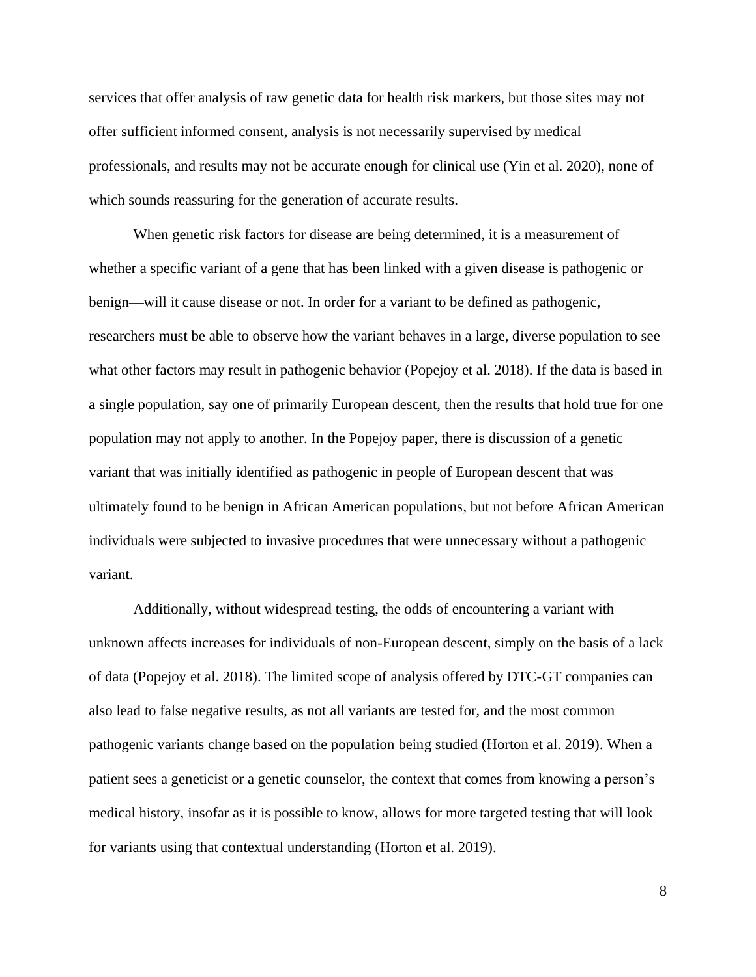services that offer analysis of raw genetic data for health risk markers, but those sites may not offer sufficient informed consent, analysis is not necessarily supervised by medical professionals, and results may not be accurate enough for clinical use (Yin et al. 2020), none of which sounds reassuring for the generation of accurate results.

When genetic risk factors for disease are being determined, it is a measurement of whether a specific variant of a gene that has been linked with a given disease is pathogenic or benign—will it cause disease or not. In order for a variant to be defined as pathogenic, researchers must be able to observe how the variant behaves in a large, diverse population to see what other factors may result in pathogenic behavior (Popejoy et al. 2018). If the data is based in a single population, say one of primarily European descent, then the results that hold true for one population may not apply to another. In the Popejoy paper, there is discussion of a genetic variant that was initially identified as pathogenic in people of European descent that was ultimately found to be benign in African American populations, but not before African American individuals were subjected to invasive procedures that were unnecessary without a pathogenic variant.

Additionally, without widespread testing, the odds of encountering a variant with unknown affects increases for individuals of non-European descent, simply on the basis of a lack of data (Popejoy et al. 2018). The limited scope of analysis offered by DTC-GT companies can also lead to false negative results, as not all variants are tested for, and the most common pathogenic variants change based on the population being studied (Horton et al. 2019). When a patient sees a geneticist or a genetic counselor, the context that comes from knowing a person's medical history, insofar as it is possible to know, allows for more targeted testing that will look for variants using that contextual understanding (Horton et al. 2019).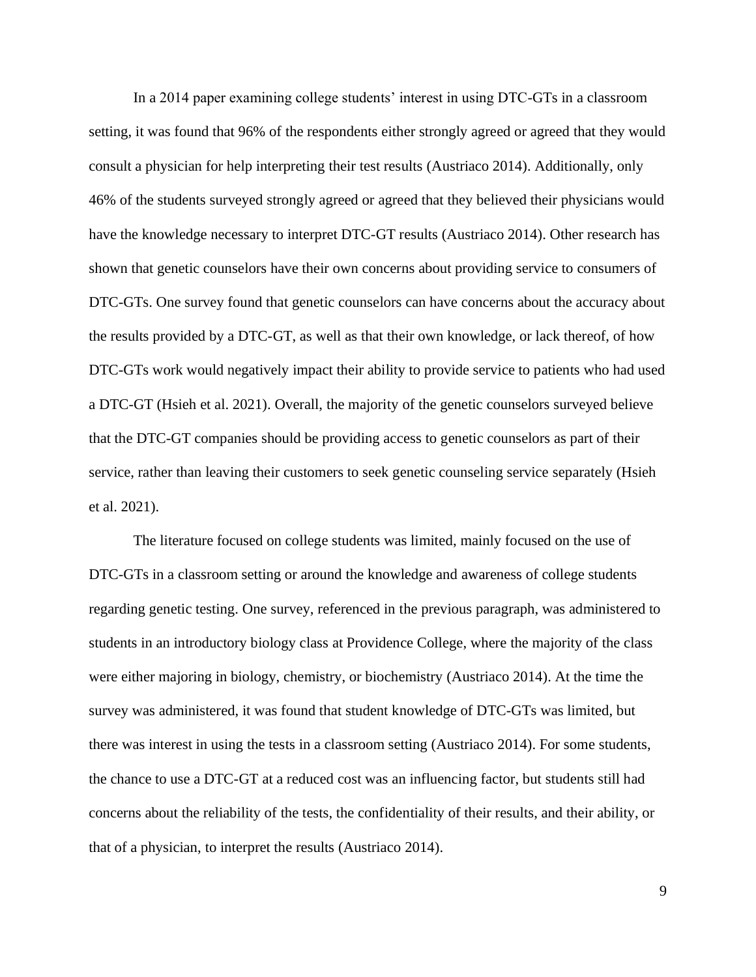In a 2014 paper examining college students' interest in using DTC-GTs in a classroom setting, it was found that 96% of the respondents either strongly agreed or agreed that they would consult a physician for help interpreting their test results (Austriaco 2014). Additionally, only 46% of the students surveyed strongly agreed or agreed that they believed their physicians would have the knowledge necessary to interpret DTC-GT results (Austriaco 2014). Other research has shown that genetic counselors have their own concerns about providing service to consumers of DTC-GTs. One survey found that genetic counselors can have concerns about the accuracy about the results provided by a DTC-GT, as well as that their own knowledge, or lack thereof, of how DTC-GTs work would negatively impact their ability to provide service to patients who had used a DTC-GT (Hsieh et al. 2021). Overall, the majority of the genetic counselors surveyed believe that the DTC-GT companies should be providing access to genetic counselors as part of their service, rather than leaving their customers to seek genetic counseling service separately (Hsieh et al. 2021).

The literature focused on college students was limited, mainly focused on the use of DTC-GTs in a classroom setting or around the knowledge and awareness of college students regarding genetic testing. One survey, referenced in the previous paragraph, was administered to students in an introductory biology class at Providence College, where the majority of the class were either majoring in biology, chemistry, or biochemistry (Austriaco 2014). At the time the survey was administered, it was found that student knowledge of DTC-GTs was limited, but there was interest in using the tests in a classroom setting (Austriaco 2014). For some students, the chance to use a DTC-GT at a reduced cost was an influencing factor, but students still had concerns about the reliability of the tests, the confidentiality of their results, and their ability, or that of a physician, to interpret the results (Austriaco 2014).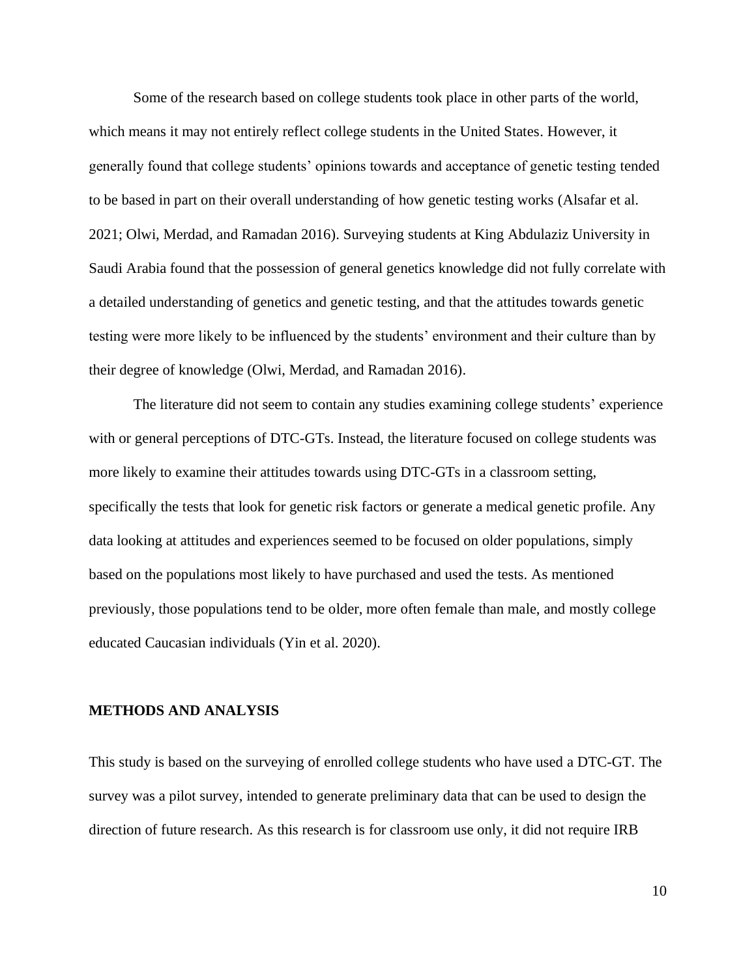Some of the research based on college students took place in other parts of the world, which means it may not entirely reflect college students in the United States. However, it generally found that college students' opinions towards and acceptance of genetic testing tended to be based in part on their overall understanding of how genetic testing works (Alsafar et al. 2021; Olwi, Merdad, and Ramadan 2016). Surveying students at King Abdulaziz University in Saudi Arabia found that the possession of general genetics knowledge did not fully correlate with a detailed understanding of genetics and genetic testing, and that the attitudes towards genetic testing were more likely to be influenced by the students' environment and their culture than by their degree of knowledge (Olwi, Merdad, and Ramadan 2016).

The literature did not seem to contain any studies examining college students' experience with or general perceptions of DTC-GTs. Instead, the literature focused on college students was more likely to examine their attitudes towards using DTC-GTs in a classroom setting, specifically the tests that look for genetic risk factors or generate a medical genetic profile. Any data looking at attitudes and experiences seemed to be focused on older populations, simply based on the populations most likely to have purchased and used the tests. As mentioned previously, those populations tend to be older, more often female than male, and mostly college educated Caucasian individuals (Yin et al. 2020).

#### **METHODS AND ANALYSIS**

This study is based on the surveying of enrolled college students who have used a DTC-GT. The survey was a pilot survey, intended to generate preliminary data that can be used to design the direction of future research. As this research is for classroom use only, it did not require IRB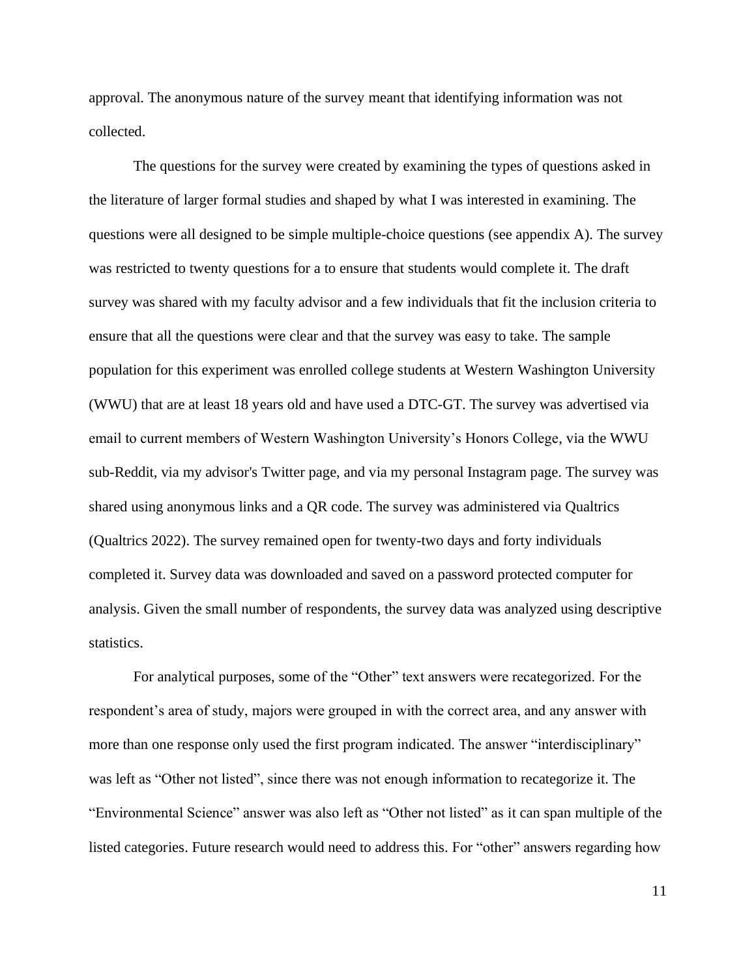approval. The anonymous nature of the survey meant that identifying information was not collected.

The questions for the survey were created by examining the types of questions asked in the literature of larger formal studies and shaped by what I was interested in examining. The questions were all designed to be simple multiple-choice questions (see appendix A). The survey was restricted to twenty questions for a to ensure that students would complete it. The draft survey was shared with my faculty advisor and a few individuals that fit the inclusion criteria to ensure that all the questions were clear and that the survey was easy to take. The sample population for this experiment was enrolled college students at Western Washington University (WWU) that are at least 18 years old and have used a DTC-GT. The survey was advertised via email to current members of Western Washington University's Honors College, via the WWU sub-Reddit, via my advisor's Twitter page, and via my personal Instagram page. The survey was shared using anonymous links and a QR code. The survey was administered via Qualtrics (Qualtrics 2022). The survey remained open for twenty-two days and forty individuals completed it. Survey data was downloaded and saved on a password protected computer for analysis. Given the small number of respondents, the survey data was analyzed using descriptive statistics.

For analytical purposes, some of the "Other" text answers were recategorized. For the respondent's area of study, majors were grouped in with the correct area, and any answer with more than one response only used the first program indicated. The answer "interdisciplinary" was left as "Other not listed", since there was not enough information to recategorize it. The "Environmental Science" answer was also left as "Other not listed" as it can span multiple of the listed categories. Future research would need to address this. For "other" answers regarding how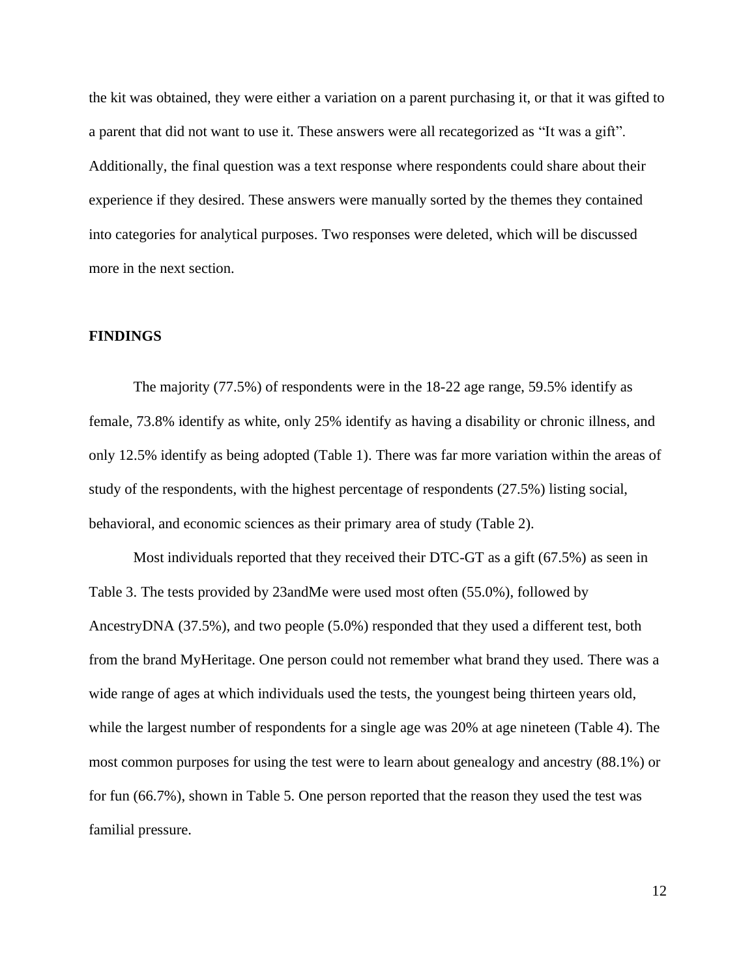the kit was obtained, they were either a variation on a parent purchasing it, or that it was gifted to a parent that did not want to use it. These answers were all recategorized as "It was a gift". Additionally, the final question was a text response where respondents could share about their experience if they desired. These answers were manually sorted by the themes they contained into categories for analytical purposes. Two responses were deleted, which will be discussed more in the next section.

#### **FINDINGS**

The majority (77.5%) of respondents were in the 18-22 age range, 59.5% identify as female, 73.8% identify as white, only 25% identify as having a disability or chronic illness, and only 12.5% identify as being adopted (Table 1). There was far more variation within the areas of study of the respondents, with the highest percentage of respondents (27.5%) listing social, behavioral, and economic sciences as their primary area of study (Table 2).

Most individuals reported that they received their DTC-GT as a gift (67.5%) as seen in Table 3. The tests provided by 23andMe were used most often (55.0%), followed by AncestryDNA (37.5%), and two people (5.0%) responded that they used a different test, both from the brand MyHeritage. One person could not remember what brand they used. There was a wide range of ages at which individuals used the tests, the youngest being thirteen years old, while the largest number of respondents for a single age was 20% at age nineteen (Table 4). The most common purposes for using the test were to learn about genealogy and ancestry (88.1%) or for fun (66.7%), shown in Table 5. One person reported that the reason they used the test was familial pressure.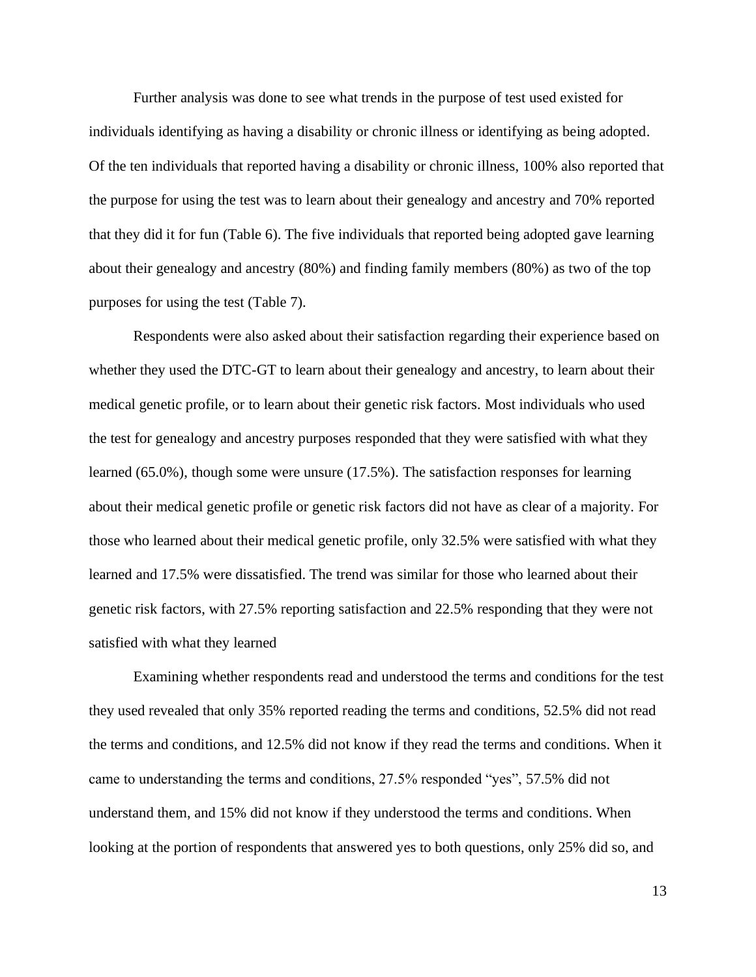Further analysis was done to see what trends in the purpose of test used existed for individuals identifying as having a disability or chronic illness or identifying as being adopted. Of the ten individuals that reported having a disability or chronic illness, 100% also reported that the purpose for using the test was to learn about their genealogy and ancestry and 70% reported that they did it for fun (Table 6). The five individuals that reported being adopted gave learning about their genealogy and ancestry (80%) and finding family members (80%) as two of the top purposes for using the test (Table 7).

Respondents were also asked about their satisfaction regarding their experience based on whether they used the DTC-GT to learn about their genealogy and ancestry, to learn about their medical genetic profile, or to learn about their genetic risk factors. Most individuals who used the test for genealogy and ancestry purposes responded that they were satisfied with what they learned (65.0%), though some were unsure (17.5%). The satisfaction responses for learning about their medical genetic profile or genetic risk factors did not have as clear of a majority. For those who learned about their medical genetic profile, only 32.5% were satisfied with what they learned and 17.5% were dissatisfied. The trend was similar for those who learned about their genetic risk factors, with 27.5% reporting satisfaction and 22.5% responding that they were not satisfied with what they learned

Examining whether respondents read and understood the terms and conditions for the test they used revealed that only 35% reported reading the terms and conditions, 52.5% did not read the terms and conditions, and 12.5% did not know if they read the terms and conditions. When it came to understanding the terms and conditions, 27.5% responded "yes", 57.5% did not understand them, and 15% did not know if they understood the terms and conditions. When looking at the portion of respondents that answered yes to both questions, only 25% did so, and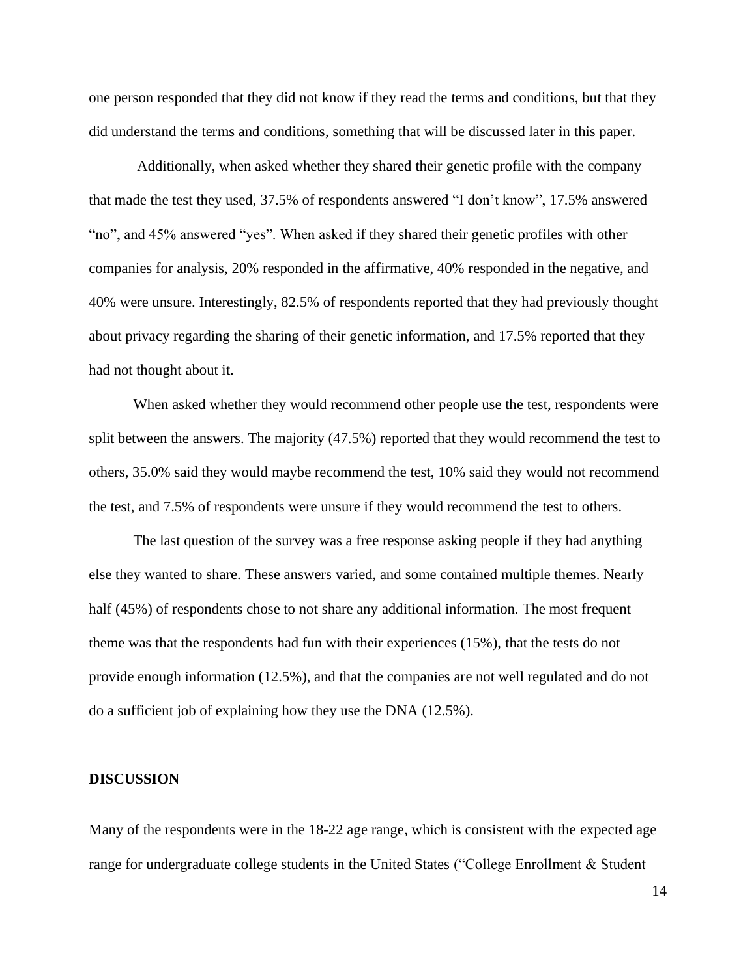one person responded that they did not know if they read the terms and conditions, but that they did understand the terms and conditions, something that will be discussed later in this paper.

Additionally, when asked whether they shared their genetic profile with the company that made the test they used, 37.5% of respondents answered "I don't know", 17.5% answered "no", and 45% answered "yes". When asked if they shared their genetic profiles with other companies for analysis, 20% responded in the affirmative, 40% responded in the negative, and 40% were unsure. Interestingly, 82.5% of respondents reported that they had previously thought about privacy regarding the sharing of their genetic information, and 17.5% reported that they had not thought about it.

When asked whether they would recommend other people use the test, respondents were split between the answers. The majority (47.5%) reported that they would recommend the test to others, 35.0% said they would maybe recommend the test, 10% said they would not recommend the test, and 7.5% of respondents were unsure if they would recommend the test to others.

The last question of the survey was a free response asking people if they had anything else they wanted to share. These answers varied, and some contained multiple themes. Nearly half (45%) of respondents chose to not share any additional information. The most frequent theme was that the respondents had fun with their experiences (15%), that the tests do not provide enough information (12.5%), and that the companies are not well regulated and do not do a sufficient job of explaining how they use the DNA (12.5%).

#### **DISCUSSION**

Many of the respondents were in the 18-22 age range, which is consistent with the expected age range for undergraduate college students in the United States ("College Enrollment & Student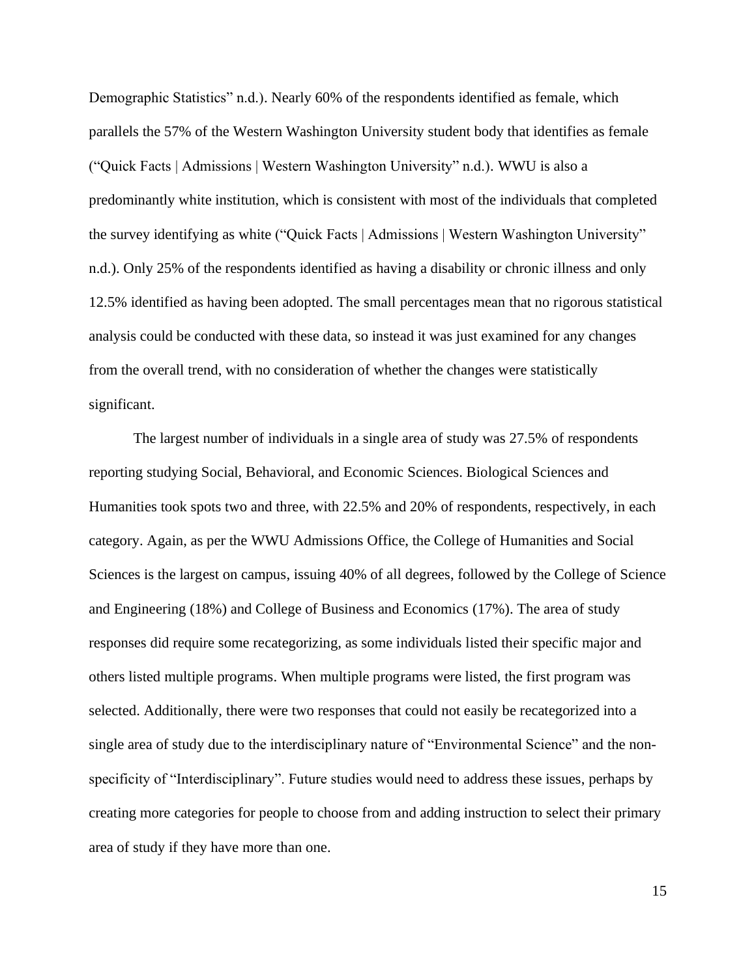Demographic Statistics" n.d.). Nearly 60% of the respondents identified as female, which parallels the 57% of the Western Washington University student body that identifies as female ("Quick Facts | Admissions | Western Washington University" n.d.). WWU is also a predominantly white institution, which is consistent with most of the individuals that completed the survey identifying as white ("Quick Facts | Admissions | Western Washington University" n.d.). Only 25% of the respondents identified as having a disability or chronic illness and only 12.5% identified as having been adopted. The small percentages mean that no rigorous statistical analysis could be conducted with these data, so instead it was just examined for any changes from the overall trend, with no consideration of whether the changes were statistically significant.

The largest number of individuals in a single area of study was 27.5% of respondents reporting studying Social, Behavioral, and Economic Sciences. Biological Sciences and Humanities took spots two and three, with 22.5% and 20% of respondents, respectively, in each category. Again, as per the WWU Admissions Office, the College of Humanities and Social Sciences is the largest on campus, issuing 40% of all degrees, followed by the College of Science and Engineering (18%) and College of Business and Economics (17%). The area of study responses did require some recategorizing, as some individuals listed their specific major and others listed multiple programs. When multiple programs were listed, the first program was selected. Additionally, there were two responses that could not easily be recategorized into a single area of study due to the interdisciplinary nature of "Environmental Science" and the nonspecificity of "Interdisciplinary". Future studies would need to address these issues, perhaps by creating more categories for people to choose from and adding instruction to select their primary area of study if they have more than one.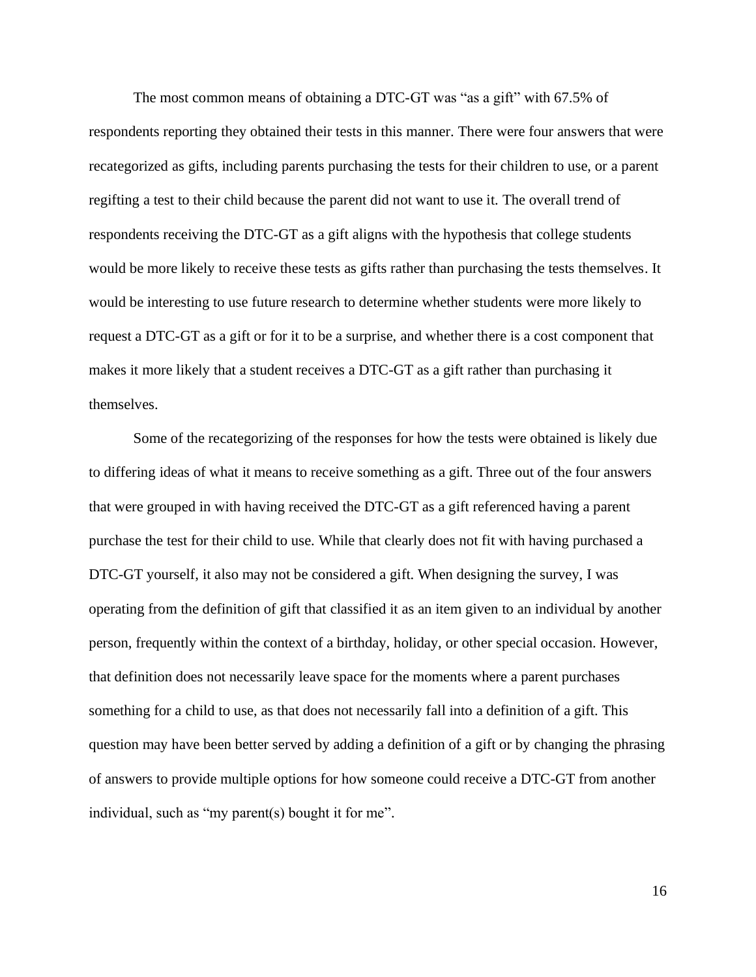The most common means of obtaining a DTC-GT was "as a gift" with 67.5% of respondents reporting they obtained their tests in this manner. There were four answers that were recategorized as gifts, including parents purchasing the tests for their children to use, or a parent regifting a test to their child because the parent did not want to use it. The overall trend of respondents receiving the DTC-GT as a gift aligns with the hypothesis that college students would be more likely to receive these tests as gifts rather than purchasing the tests themselves. It would be interesting to use future research to determine whether students were more likely to request a DTC-GT as a gift or for it to be a surprise, and whether there is a cost component that makes it more likely that a student receives a DTC-GT as a gift rather than purchasing it themselves.

Some of the recategorizing of the responses for how the tests were obtained is likely due to differing ideas of what it means to receive something as a gift. Three out of the four answers that were grouped in with having received the DTC-GT as a gift referenced having a parent purchase the test for their child to use. While that clearly does not fit with having purchased a DTC-GT yourself, it also may not be considered a gift. When designing the survey, I was operating from the definition of gift that classified it as an item given to an individual by another person, frequently within the context of a birthday, holiday, or other special occasion. However, that definition does not necessarily leave space for the moments where a parent purchases something for a child to use, as that does not necessarily fall into a definition of a gift. This question may have been better served by adding a definition of a gift or by changing the phrasing of answers to provide multiple options for how someone could receive a DTC-GT from another individual, such as "my parent(s) bought it for me".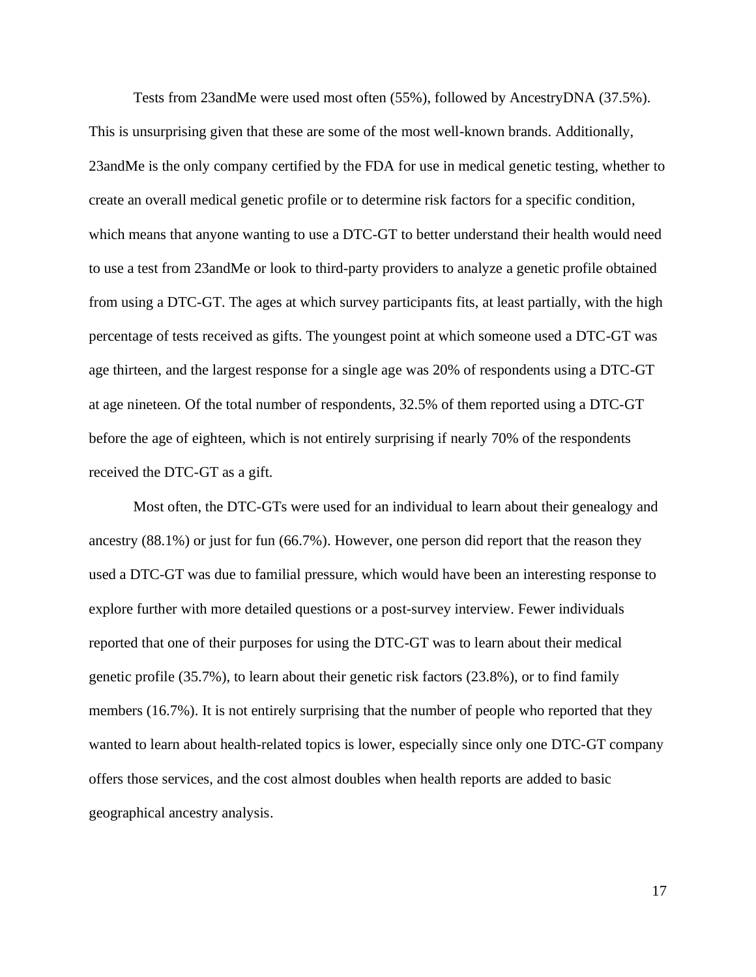Tests from 23andMe were used most often (55%), followed by AncestryDNA (37.5%). This is unsurprising given that these are some of the most well-known brands. Additionally, 23andMe is the only company certified by the FDA for use in medical genetic testing, whether to create an overall medical genetic profile or to determine risk factors for a specific condition, which means that anyone wanting to use a DTC-GT to better understand their health would need to use a test from 23andMe or look to third-party providers to analyze a genetic profile obtained from using a DTC-GT. The ages at which survey participants fits, at least partially, with the high percentage of tests received as gifts. The youngest point at which someone used a DTC-GT was age thirteen, and the largest response for a single age was 20% of respondents using a DTC-GT at age nineteen. Of the total number of respondents, 32.5% of them reported using a DTC-GT before the age of eighteen, which is not entirely surprising if nearly 70% of the respondents received the DTC-GT as a gift.

Most often, the DTC-GTs were used for an individual to learn about their genealogy and ancestry (88.1%) or just for fun (66.7%). However, one person did report that the reason they used a DTC-GT was due to familial pressure, which would have been an interesting response to explore further with more detailed questions or a post-survey interview. Fewer individuals reported that one of their purposes for using the DTC-GT was to learn about their medical genetic profile (35.7%), to learn about their genetic risk factors (23.8%), or to find family members (16.7%). It is not entirely surprising that the number of people who reported that they wanted to learn about health-related topics is lower, especially since only one DTC-GT company offers those services, and the cost almost doubles when health reports are added to basic geographical ancestry analysis.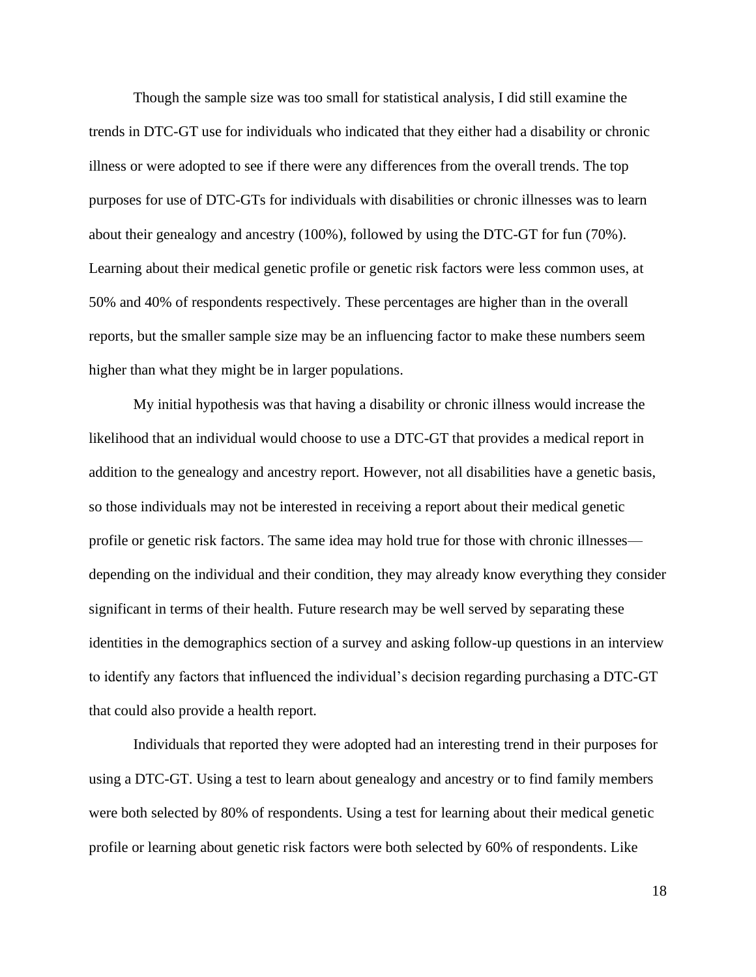Though the sample size was too small for statistical analysis, I did still examine the trends in DTC-GT use for individuals who indicated that they either had a disability or chronic illness or were adopted to see if there were any differences from the overall trends. The top purposes for use of DTC-GTs for individuals with disabilities or chronic illnesses was to learn about their genealogy and ancestry (100%), followed by using the DTC-GT for fun (70%). Learning about their medical genetic profile or genetic risk factors were less common uses, at 50% and 40% of respondents respectively. These percentages are higher than in the overall reports, but the smaller sample size may be an influencing factor to make these numbers seem higher than what they might be in larger populations.

My initial hypothesis was that having a disability or chronic illness would increase the likelihood that an individual would choose to use a DTC-GT that provides a medical report in addition to the genealogy and ancestry report. However, not all disabilities have a genetic basis, so those individuals may not be interested in receiving a report about their medical genetic profile or genetic risk factors. The same idea may hold true for those with chronic illnesses depending on the individual and their condition, they may already know everything they consider significant in terms of their health. Future research may be well served by separating these identities in the demographics section of a survey and asking follow-up questions in an interview to identify any factors that influenced the individual's decision regarding purchasing a DTC-GT that could also provide a health report.

Individuals that reported they were adopted had an interesting trend in their purposes for using a DTC-GT. Using a test to learn about genealogy and ancestry or to find family members were both selected by 80% of respondents. Using a test for learning about their medical genetic profile or learning about genetic risk factors were both selected by 60% of respondents. Like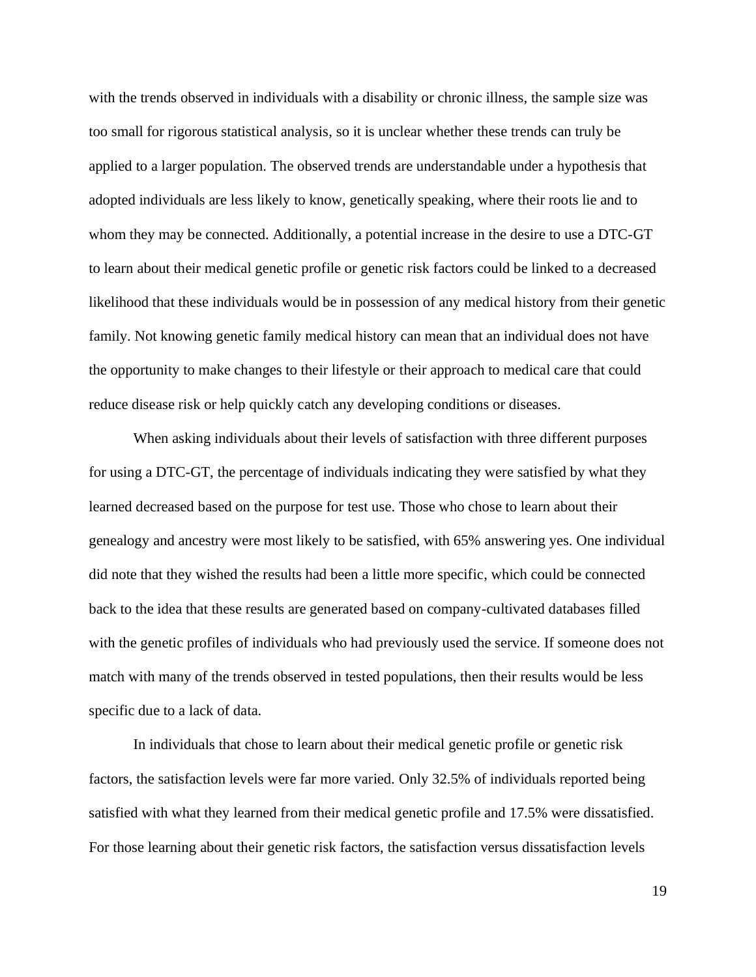with the trends observed in individuals with a disability or chronic illness, the sample size was too small for rigorous statistical analysis, so it is unclear whether these trends can truly be applied to a larger population. The observed trends are understandable under a hypothesis that adopted individuals are less likely to know, genetically speaking, where their roots lie and to whom they may be connected. Additionally, a potential increase in the desire to use a DTC-GT to learn about their medical genetic profile or genetic risk factors could be linked to a decreased likelihood that these individuals would be in possession of any medical history from their genetic family. Not knowing genetic family medical history can mean that an individual does not have the opportunity to make changes to their lifestyle or their approach to medical care that could reduce disease risk or help quickly catch any developing conditions or diseases.

When asking individuals about their levels of satisfaction with three different purposes for using a DTC-GT, the percentage of individuals indicating they were satisfied by what they learned decreased based on the purpose for test use. Those who chose to learn about their genealogy and ancestry were most likely to be satisfied, with 65% answering yes. One individual did note that they wished the results had been a little more specific, which could be connected back to the idea that these results are generated based on company-cultivated databases filled with the genetic profiles of individuals who had previously used the service. If someone does not match with many of the trends observed in tested populations, then their results would be less specific due to a lack of data.

In individuals that chose to learn about their medical genetic profile or genetic risk factors, the satisfaction levels were far more varied. Only 32.5% of individuals reported being satisfied with what they learned from their medical genetic profile and 17.5% were dissatisfied. For those learning about their genetic risk factors, the satisfaction versus dissatisfaction levels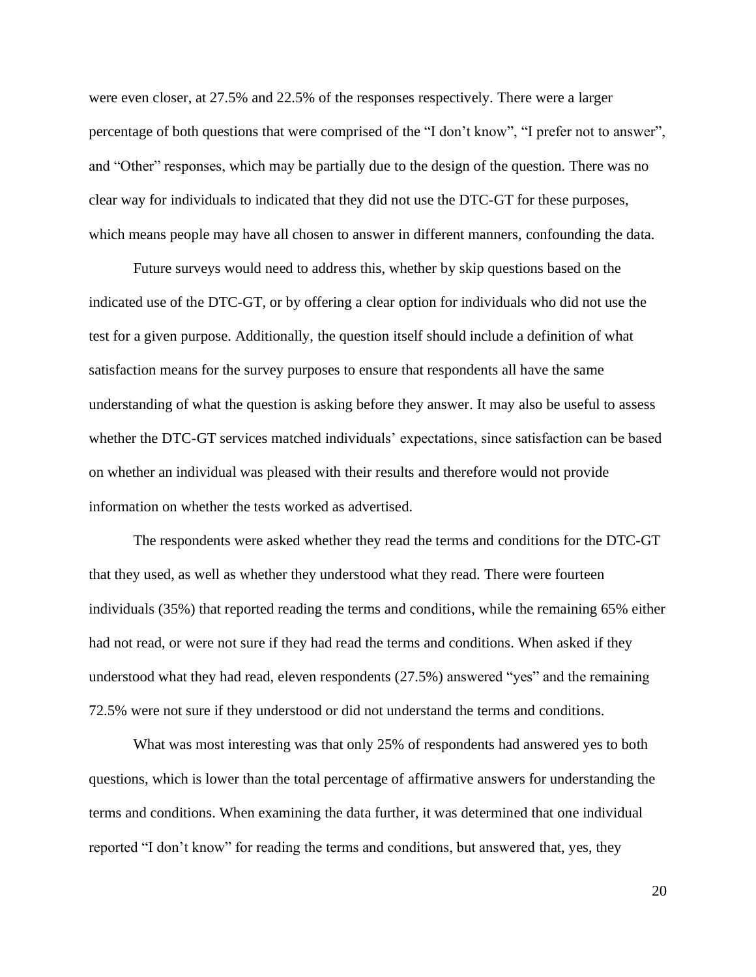were even closer, at 27.5% and 22.5% of the responses respectively. There were a larger percentage of both questions that were comprised of the "I don't know", "I prefer not to answer", and "Other" responses, which may be partially due to the design of the question. There was no clear way for individuals to indicated that they did not use the DTC-GT for these purposes, which means people may have all chosen to answer in different manners, confounding the data.

Future surveys would need to address this, whether by skip questions based on the indicated use of the DTC-GT, or by offering a clear option for individuals who did not use the test for a given purpose. Additionally, the question itself should include a definition of what satisfaction means for the survey purposes to ensure that respondents all have the same understanding of what the question is asking before they answer. It may also be useful to assess whether the DTC-GT services matched individuals' expectations, since satisfaction can be based on whether an individual was pleased with their results and therefore would not provide information on whether the tests worked as advertised.

The respondents were asked whether they read the terms and conditions for the DTC-GT that they used, as well as whether they understood what they read. There were fourteen individuals (35%) that reported reading the terms and conditions, while the remaining 65% either had not read, or were not sure if they had read the terms and conditions. When asked if they understood what they had read, eleven respondents (27.5%) answered "yes" and the remaining 72.5% were not sure if they understood or did not understand the terms and conditions.

What was most interesting was that only 25% of respondents had answered yes to both questions, which is lower than the total percentage of affirmative answers for understanding the terms and conditions. When examining the data further, it was determined that one individual reported "I don't know" for reading the terms and conditions, but answered that, yes, they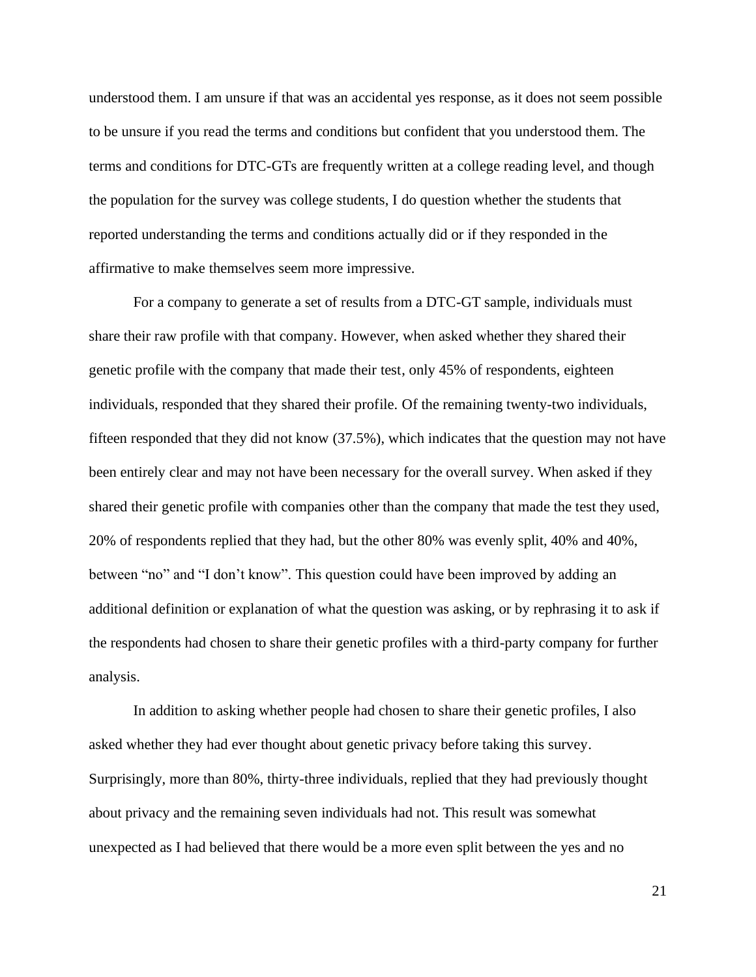understood them. I am unsure if that was an accidental yes response, as it does not seem possible to be unsure if you read the terms and conditions but confident that you understood them. The terms and conditions for DTC-GTs are frequently written at a college reading level, and though the population for the survey was college students, I do question whether the students that reported understanding the terms and conditions actually did or if they responded in the affirmative to make themselves seem more impressive.

For a company to generate a set of results from a DTC-GT sample, individuals must share their raw profile with that company. However, when asked whether they shared their genetic profile with the company that made their test, only 45% of respondents, eighteen individuals, responded that they shared their profile. Of the remaining twenty-two individuals, fifteen responded that they did not know (37.5%), which indicates that the question may not have been entirely clear and may not have been necessary for the overall survey. When asked if they shared their genetic profile with companies other than the company that made the test they used, 20% of respondents replied that they had, but the other 80% was evenly split, 40% and 40%, between "no" and "I don't know". This question could have been improved by adding an additional definition or explanation of what the question was asking, or by rephrasing it to ask if the respondents had chosen to share their genetic profiles with a third-party company for further analysis.

In addition to asking whether people had chosen to share their genetic profiles, I also asked whether they had ever thought about genetic privacy before taking this survey. Surprisingly, more than 80%, thirty-three individuals, replied that they had previously thought about privacy and the remaining seven individuals had not. This result was somewhat unexpected as I had believed that there would be a more even split between the yes and no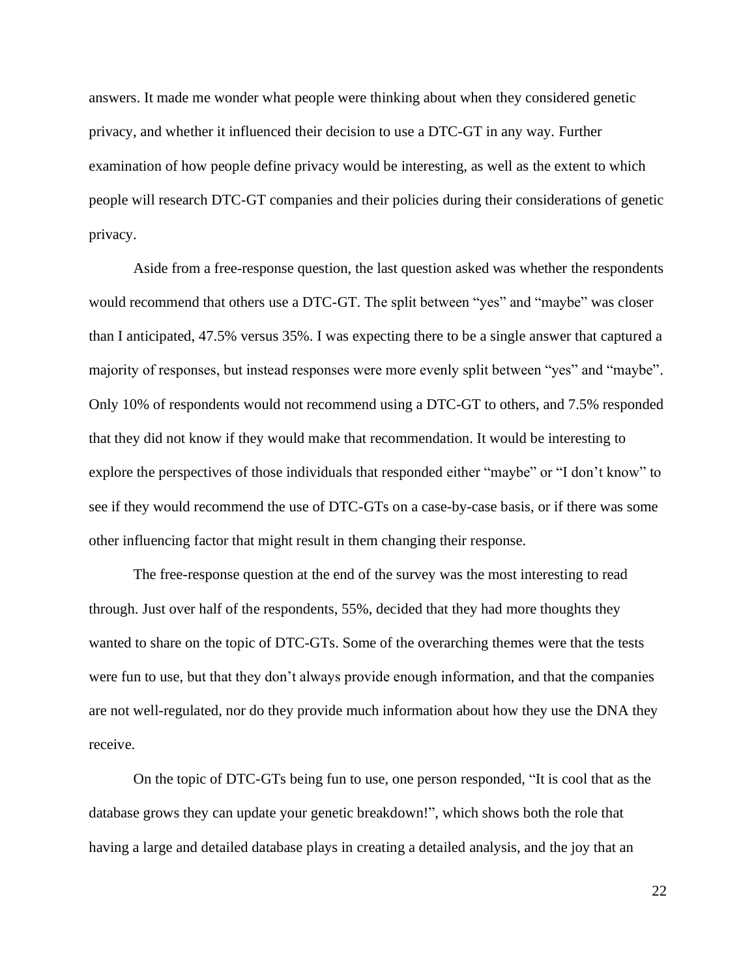answers. It made me wonder what people were thinking about when they considered genetic privacy, and whether it influenced their decision to use a DTC-GT in any way. Further examination of how people define privacy would be interesting, as well as the extent to which people will research DTC-GT companies and their policies during their considerations of genetic privacy.

Aside from a free-response question, the last question asked was whether the respondents would recommend that others use a DTC-GT. The split between "yes" and "maybe" was closer than I anticipated, 47.5% versus 35%. I was expecting there to be a single answer that captured a majority of responses, but instead responses were more evenly split between "yes" and "maybe". Only 10% of respondents would not recommend using a DTC-GT to others, and 7.5% responded that they did not know if they would make that recommendation. It would be interesting to explore the perspectives of those individuals that responded either "maybe" or "I don't know" to see if they would recommend the use of DTC-GTs on a case-by-case basis, or if there was some other influencing factor that might result in them changing their response.

The free-response question at the end of the survey was the most interesting to read through. Just over half of the respondents, 55%, decided that they had more thoughts they wanted to share on the topic of DTC-GTs. Some of the overarching themes were that the tests were fun to use, but that they don't always provide enough information, and that the companies are not well-regulated, nor do they provide much information about how they use the DNA they receive.

On the topic of DTC-GTs being fun to use, one person responded, "It is cool that as the database grows they can update your genetic breakdown!", which shows both the role that having a large and detailed database plays in creating a detailed analysis, and the joy that an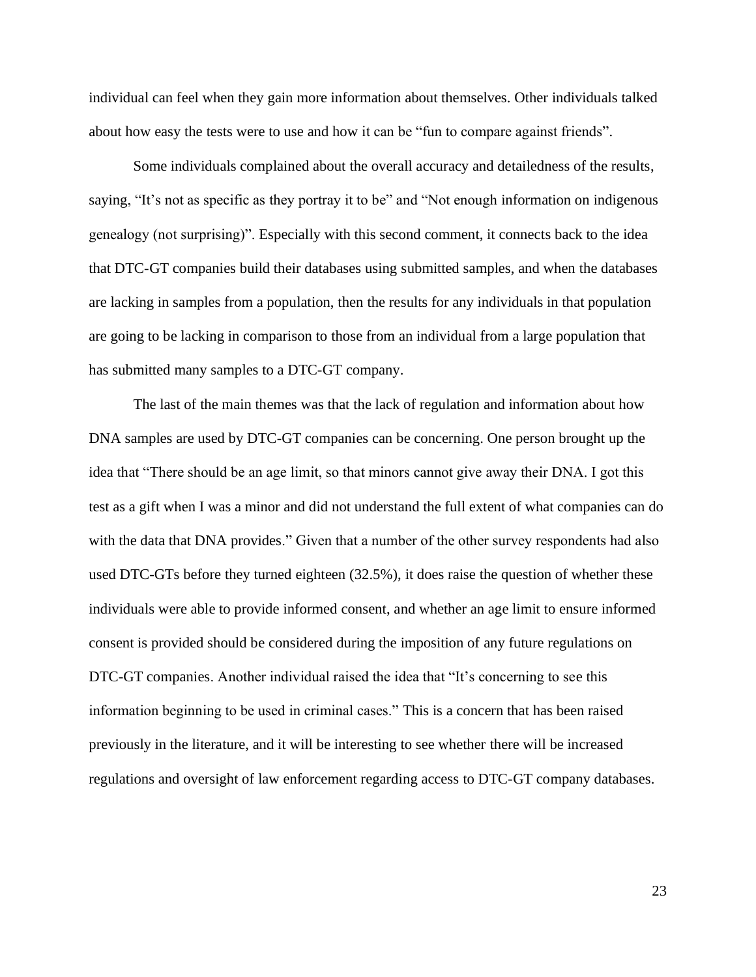individual can feel when they gain more information about themselves. Other individuals talked about how easy the tests were to use and how it can be "fun to compare against friends".

Some individuals complained about the overall accuracy and detailedness of the results, saying, "It's not as specific as they portray it to be" and "Not enough information on indigenous genealogy (not surprising)". Especially with this second comment, it connects back to the idea that DTC-GT companies build their databases using submitted samples, and when the databases are lacking in samples from a population, then the results for any individuals in that population are going to be lacking in comparison to those from an individual from a large population that has submitted many samples to a DTC-GT company.

The last of the main themes was that the lack of regulation and information about how DNA samples are used by DTC-GT companies can be concerning. One person brought up the idea that "There should be an age limit, so that minors cannot give away their DNA. I got this test as a gift when I was a minor and did not understand the full extent of what companies can do with the data that DNA provides." Given that a number of the other survey respondents had also used DTC-GTs before they turned eighteen (32.5%), it does raise the question of whether these individuals were able to provide informed consent, and whether an age limit to ensure informed consent is provided should be considered during the imposition of any future regulations on DTC-GT companies. Another individual raised the idea that "It's concerning to see this information beginning to be used in criminal cases." This is a concern that has been raised previously in the literature, and it will be interesting to see whether there will be increased regulations and oversight of law enforcement regarding access to DTC-GT company databases.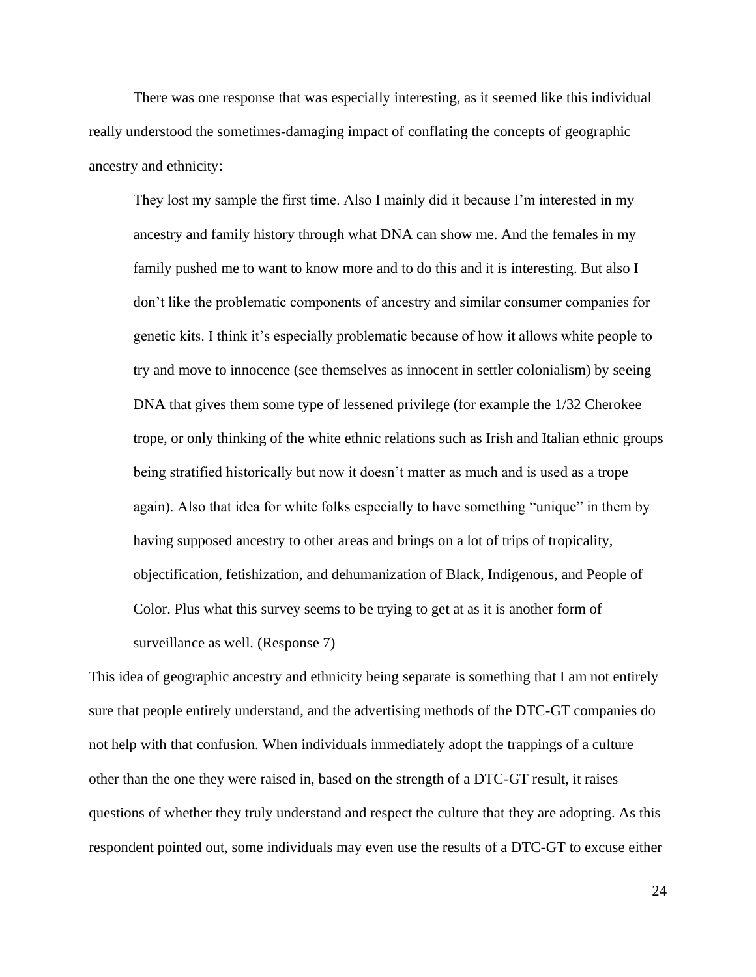There was one response that was especially interesting, as it seemed like this individual really understood the sometimes-damaging impact of conflating the concepts of geographic ancestry and ethnicity:

They lost my sample the first time. Also I mainly did it because I'm interested in my ancestry and family history through what DNA can show me. And the females in my family pushed me to want to know more and to do this and it is interesting. But also I don't like the problematic components of ancestry and similar consumer companies for genetic kits. I think it's especially problematic because of how it allows white people to try and move to innocence (see themselves as innocent in settler colonialism) by seeing DNA that gives them some type of lessened privilege (for example the 1/32 Cherokee trope, or only thinking of the white ethnic relations such as Irish and Italian ethnic groups being stratified historically but now it doesn't matter as much and is used as a trope again). Also that idea for white folks especially to have something "unique" in them by having supposed ancestry to other areas and brings on a lot of trips of tropicality, objectification, fetishization, and dehumanization of Black, Indigenous, and People of Color. Plus what this survey seems to be trying to get at as it is another form of surveillance as well. (Response 7)

This idea of geographic ancestry and ethnicity being separate is something that I am not entirely sure that people entirely understand, and the advertising methods of the DTC-GT companies do not help with that confusion. When individuals immediately adopt the trappings of a culture other than the one they were raised in, based on the strength of a DTC-GT result, it raises questions of whether they truly understand and respect the culture that they are adopting. As this respondent pointed out, some individuals may even use the results of a DTC-GT to excuse either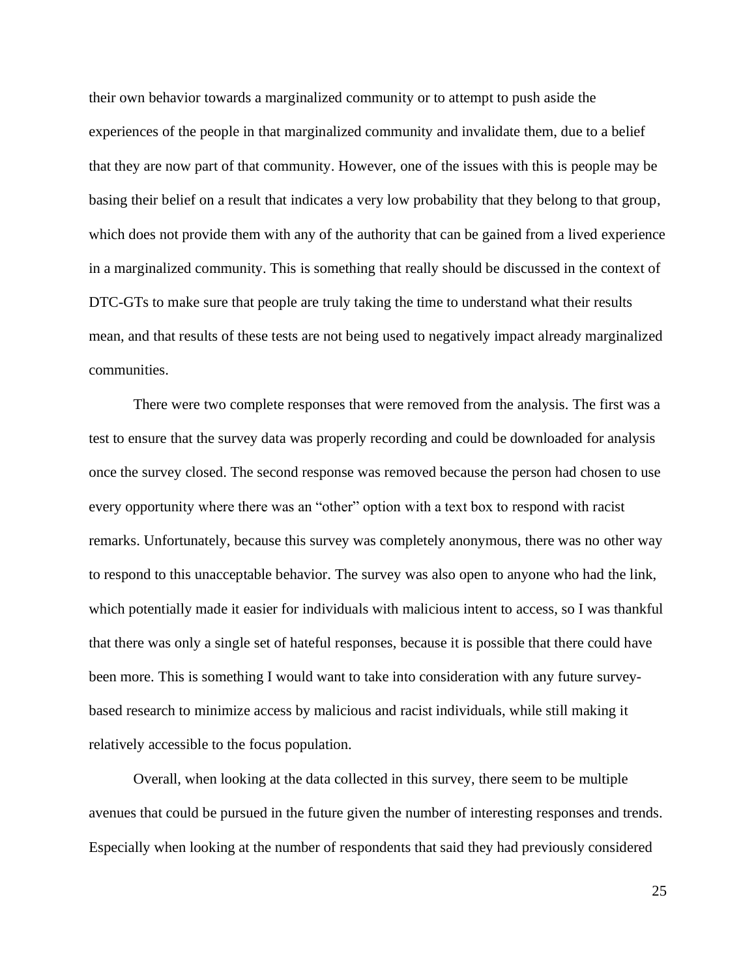their own behavior towards a marginalized community or to attempt to push aside the experiences of the people in that marginalized community and invalidate them, due to a belief that they are now part of that community. However, one of the issues with this is people may be basing their belief on a result that indicates a very low probability that they belong to that group, which does not provide them with any of the authority that can be gained from a lived experience in a marginalized community. This is something that really should be discussed in the context of DTC-GTs to make sure that people are truly taking the time to understand what their results mean, and that results of these tests are not being used to negatively impact already marginalized communities.

There were two complete responses that were removed from the analysis. The first was a test to ensure that the survey data was properly recording and could be downloaded for analysis once the survey closed. The second response was removed because the person had chosen to use every opportunity where there was an "other" option with a text box to respond with racist remarks. Unfortunately, because this survey was completely anonymous, there was no other way to respond to this unacceptable behavior. The survey was also open to anyone who had the link, which potentially made it easier for individuals with malicious intent to access, so I was thankful that there was only a single set of hateful responses, because it is possible that there could have been more. This is something I would want to take into consideration with any future surveybased research to minimize access by malicious and racist individuals, while still making it relatively accessible to the focus population.

Overall, when looking at the data collected in this survey, there seem to be multiple avenues that could be pursued in the future given the number of interesting responses and trends. Especially when looking at the number of respondents that said they had previously considered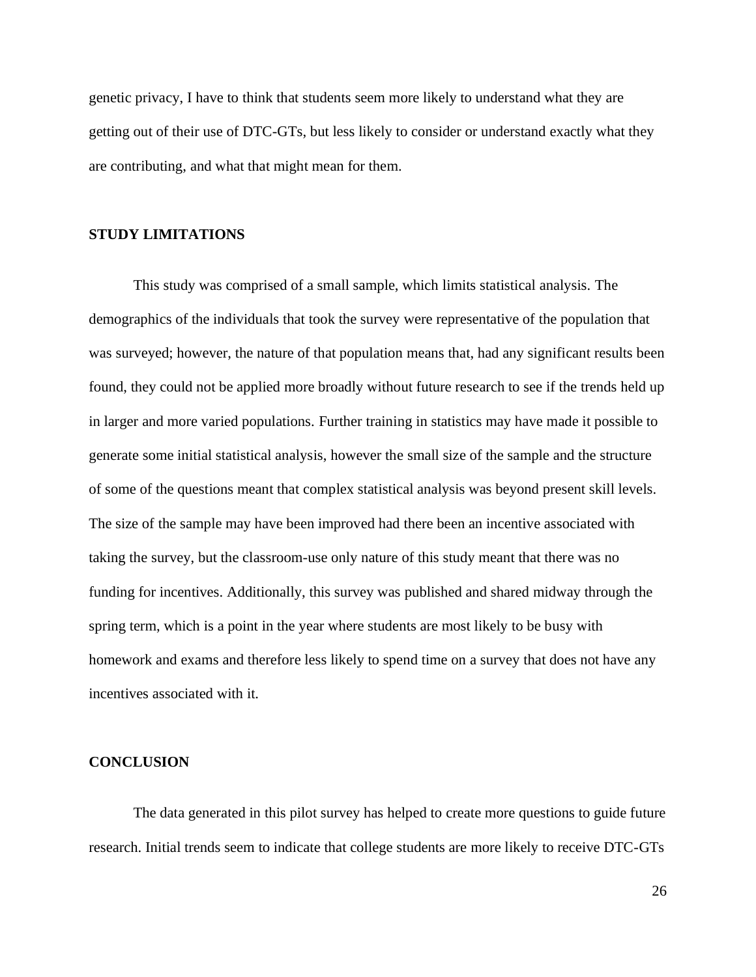genetic privacy, I have to think that students seem more likely to understand what they are getting out of their use of DTC-GTs, but less likely to consider or understand exactly what they are contributing, and what that might mean for them.

#### **STUDY LIMITATIONS**

This study was comprised of a small sample, which limits statistical analysis. The demographics of the individuals that took the survey were representative of the population that was surveyed; however, the nature of that population means that, had any significant results been found, they could not be applied more broadly without future research to see if the trends held up in larger and more varied populations. Further training in statistics may have made it possible to generate some initial statistical analysis, however the small size of the sample and the structure of some of the questions meant that complex statistical analysis was beyond present skill levels. The size of the sample may have been improved had there been an incentive associated with taking the survey, but the classroom-use only nature of this study meant that there was no funding for incentives. Additionally, this survey was published and shared midway through the spring term, which is a point in the year where students are most likely to be busy with homework and exams and therefore less likely to spend time on a survey that does not have any incentives associated with it.

#### **CONCLUSION**

The data generated in this pilot survey has helped to create more questions to guide future research. Initial trends seem to indicate that college students are more likely to receive DTC-GTs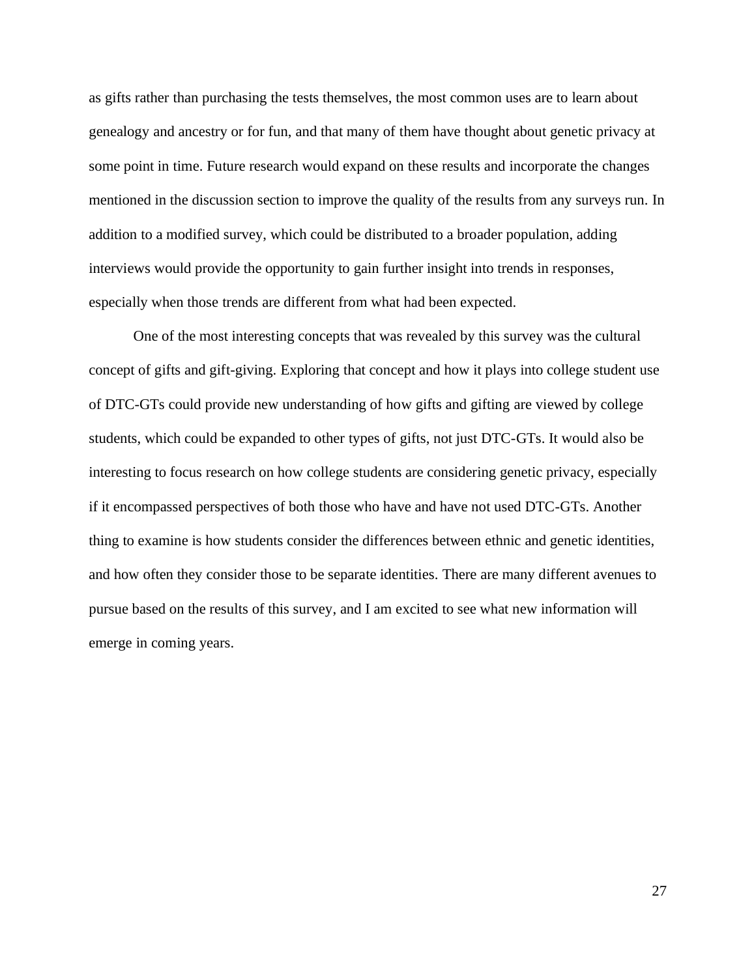as gifts rather than purchasing the tests themselves, the most common uses are to learn about genealogy and ancestry or for fun, and that many of them have thought about genetic privacy at some point in time. Future research would expand on these results and incorporate the changes mentioned in the discussion section to improve the quality of the results from any surveys run. In addition to a modified survey, which could be distributed to a broader population, adding interviews would provide the opportunity to gain further insight into trends in responses, especially when those trends are different from what had been expected.

One of the most interesting concepts that was revealed by this survey was the cultural concept of gifts and gift-giving. Exploring that concept and how it plays into college student use of DTC-GTs could provide new understanding of how gifts and gifting are viewed by college students, which could be expanded to other types of gifts, not just DTC-GTs. It would also be interesting to focus research on how college students are considering genetic privacy, especially if it encompassed perspectives of both those who have and have not used DTC-GTs. Another thing to examine is how students consider the differences between ethnic and genetic identities, and how often they consider those to be separate identities. There are many different avenues to pursue based on the results of this survey, and I am excited to see what new information will emerge in coming years.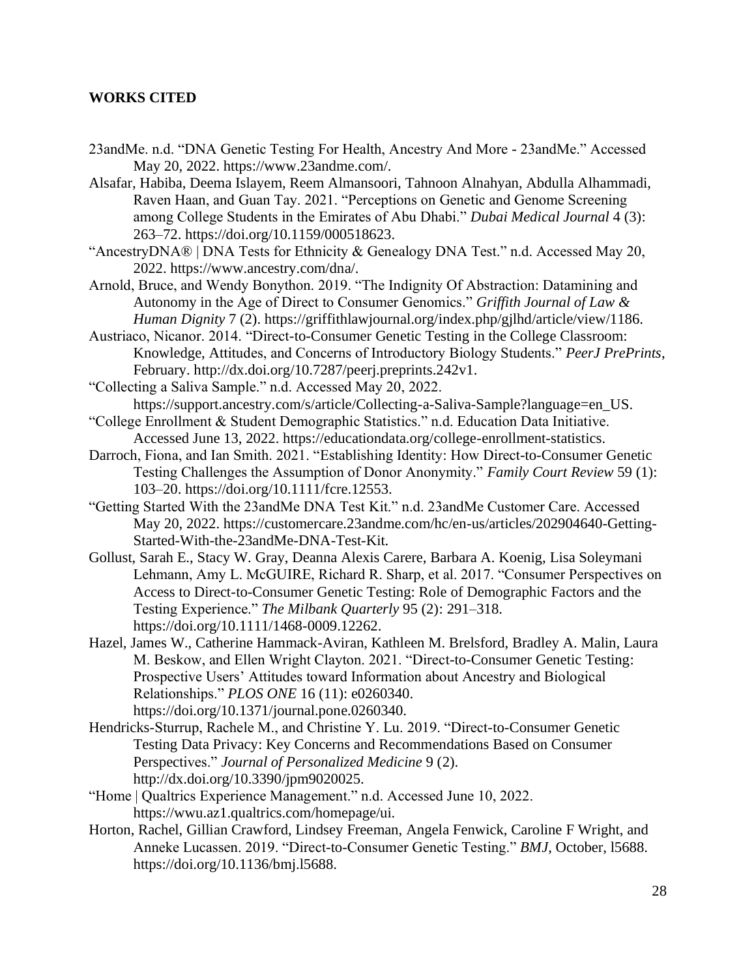#### **WORKS CITED**

- 23andMe. n.d. "DNA Genetic Testing For Health, Ancestry And More 23andMe." Accessed May 20, 2022. https://www.23andme.com/.
- Alsafar, Habiba, Deema Islayem, Reem Almansoori, Tahnoon Alnahyan, Abdulla Alhammadi, Raven Haan, and Guan Tay. 2021. "Perceptions on Genetic and Genome Screening among College Students in the Emirates of Abu Dhabi." *Dubai Medical Journal* 4 (3): 263–72. https://doi.org/10.1159/000518623.
- "AncestryDNA® | DNA Tests for Ethnicity & Genealogy DNA Test." n.d. Accessed May 20, 2022. https://www.ancestry.com/dna/.
- Arnold, Bruce, and Wendy Bonython. 2019. "The Indignity Of Abstraction: Datamining and Autonomy in the Age of Direct to Consumer Genomics." *Griffith Journal of Law & Human Dignity* 7 (2). https://griffithlawjournal.org/index.php/gjlhd/article/view/1186.
- Austriaco, Nicanor. 2014. "Direct-to-Consumer Genetic Testing in the College Classroom: Knowledge, Attitudes, and Concerns of Introductory Biology Students." *PeerJ PrePrints*, February. http://dx.doi.org/10.7287/peerj.preprints.242v1.

"Collecting a Saliva Sample." n.d. Accessed May 20, 2022. https://support.ancestry.com/s/article/Collecting-a-Saliva-Sample?language=en\_US.

- "College Enrollment & Student Demographic Statistics." n.d. Education Data Initiative. Accessed June 13, 2022. https://educationdata.org/college-enrollment-statistics.
- Darroch, Fiona, and Ian Smith. 2021. "Establishing Identity: How Direct-to-Consumer Genetic Testing Challenges the Assumption of Donor Anonymity." *Family Court Review* 59 (1): 103–20. https://doi.org/10.1111/fcre.12553.
- "Getting Started With the 23andMe DNA Test Kit." n.d. 23andMe Customer Care. Accessed May 20, 2022. https://customercare.23andme.com/hc/en-us/articles/202904640-Getting-Started-With-the-23andMe-DNA-Test-Kit.
- Gollust, Sarah E., Stacy W. Gray, Deanna Alexis Carere, Barbara A. Koenig, Lisa Soleymani Lehmann, Amy L. McGUIRE, Richard R. Sharp, et al. 2017. "Consumer Perspectives on Access to Direct-to-Consumer Genetic Testing: Role of Demographic Factors and the Testing Experience." *The Milbank Quarterly* 95 (2): 291–318. https://doi.org/10.1111/1468-0009.12262.
- Hazel, James W., Catherine Hammack-Aviran, Kathleen M. Brelsford, Bradley A. Malin, Laura M. Beskow, and Ellen Wright Clayton. 2021. "Direct-to-Consumer Genetic Testing: Prospective Users' Attitudes toward Information about Ancestry and Biological Relationships." *PLOS ONE* 16 (11): e0260340. https://doi.org/10.1371/journal.pone.0260340.
- Hendricks-Sturrup, Rachele M., and Christine Y. Lu. 2019. "Direct-to-Consumer Genetic Testing Data Privacy: Key Concerns and Recommendations Based on Consumer Perspectives." *Journal of Personalized Medicine* 9 (2). http://dx.doi.org/10.3390/jpm9020025.
- "Home | Qualtrics Experience Management." n.d. Accessed June 10, 2022. https://wwu.az1.qualtrics.com/homepage/ui.
- Horton, Rachel, Gillian Crawford, Lindsey Freeman, Angela Fenwick, Caroline F Wright, and Anneke Lucassen. 2019. "Direct-to-Consumer Genetic Testing." *BMJ*, October, l5688. https://doi.org/10.1136/bmj.l5688.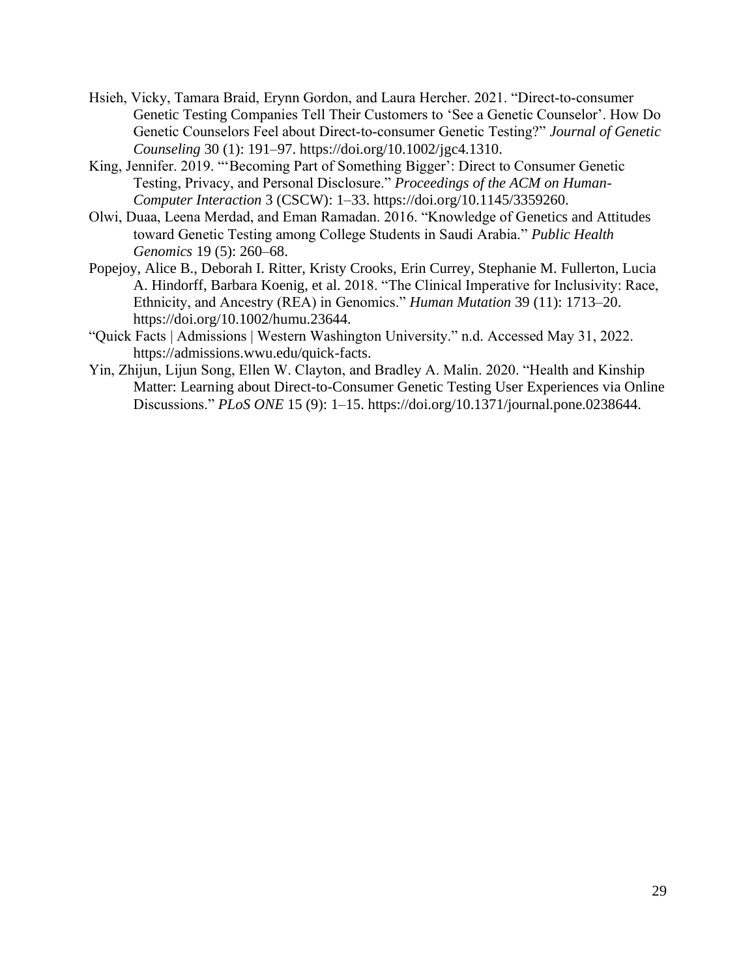- Hsieh, Vicky, Tamara Braid, Erynn Gordon, and Laura Hercher. 2021. "Direct-to-consumer Genetic Testing Companies Tell Their Customers to 'See a Genetic Counselor'. How Do Genetic Counselors Feel about Direct‐to‐consumer Genetic Testing?" *Journal of Genetic Counseling* 30 (1): 191–97. https://doi.org/10.1002/jgc4.1310.
- King, Jennifer. 2019. "'Becoming Part of Something Bigger': Direct to Consumer Genetic Testing, Privacy, and Personal Disclosure." *Proceedings of the ACM on Human-Computer Interaction* 3 (CSCW): 1–33. https://doi.org/10.1145/3359260.
- Olwi, Duaa, Leena Merdad, and Eman Ramadan. 2016. "Knowledge of Genetics and Attitudes toward Genetic Testing among College Students in Saudi Arabia." *Public Health Genomics* 19 (5): 260–68.
- Popejoy, Alice B., Deborah I. Ritter, Kristy Crooks, Erin Currey, Stephanie M. Fullerton, Lucia A. Hindorff, Barbara Koenig, et al. 2018. "The Clinical Imperative for Inclusivity: Race, Ethnicity, and Ancestry (REA) in Genomics." *Human Mutation* 39 (11): 1713–20. https://doi.org/10.1002/humu.23644.
- "Quick Facts | Admissions | Western Washington University." n.d. Accessed May 31, 2022. https://admissions.wwu.edu/quick-facts.
- Yin, Zhijun, Lijun Song, Ellen W. Clayton, and Bradley A. Malin. 2020. "Health and Kinship Matter: Learning about Direct-to-Consumer Genetic Testing User Experiences via Online Discussions." *PLoS ONE* 15 (9): 1–15. https://doi.org/10.1371/journal.pone.0238644.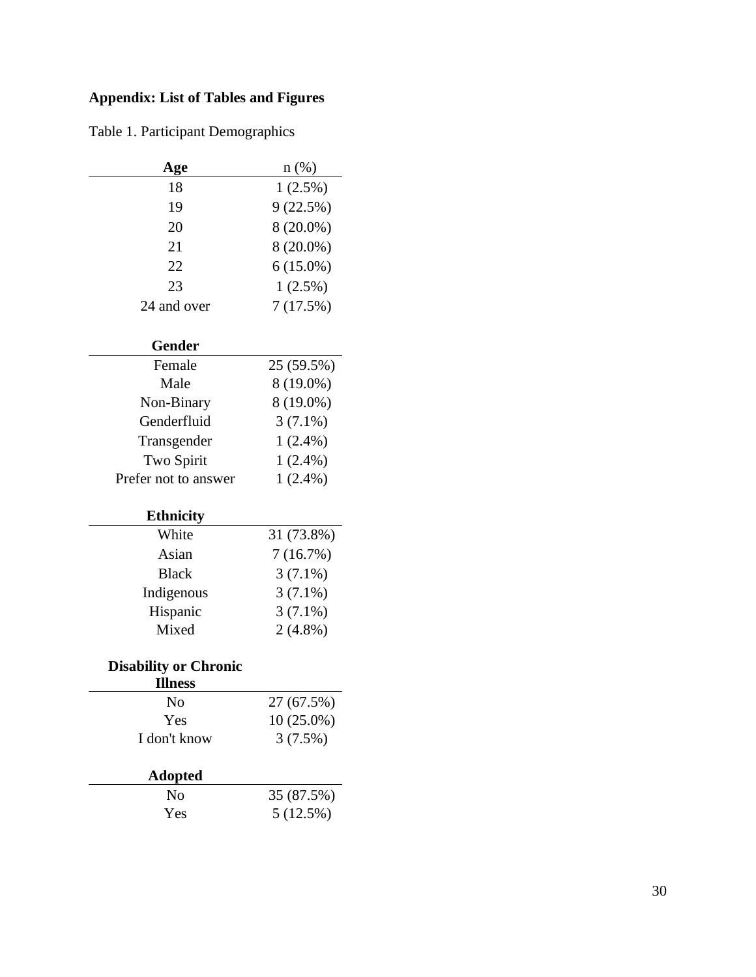## **Appendix: List of Tables and Figures**

Table 1. Participant Demographics

| Age         | $n(\%)$     |
|-------------|-------------|
| 18          | $1(2.5\%)$  |
| 19          | 9(22.5%)    |
| 20          | $8(20.0\%)$ |
| 21          | $8(20.0\%)$ |
| 22          | $6(15.0\%)$ |
| 23          | $1(2.5\%)$  |
| 24 and over | 7(17.5%)    |

## **Gender**

| Female               | 25 (59.5%) |
|----------------------|------------|
| Male                 | 8 (19.0%)  |
| Non-Binary           | 8 (19.0%)  |
| Genderfluid          | $3(7.1\%)$ |
| Transgender          | $1(2.4\%)$ |
| Two Spirit           | $1(2.4\%)$ |
| Prefer not to answer | $1(2.4\%)$ |

## **Ethnicity**

| White        | 31 (73.8%) |
|--------------|------------|
| Asian        | 7(16.7%)   |
| <b>Black</b> | $3(7.1\%)$ |
| Indigenous   | $3(7.1\%)$ |
| Hispanic     | $3(7.1\%)$ |
| Mixed        | $2(4.8\%)$ |

## **Disability or Chronic**

| <b>Illness</b> |              |
|----------------|--------------|
| N <sub>0</sub> | 27 (67.5%)   |
| Yes            | $10(25.0\%)$ |
| I don't know   | 3(7.5%)      |
| <b>Adopted</b> |              |

| No         | 35 (87.5%) |
|------------|------------|
| <b>Yes</b> | 5(12.5%)   |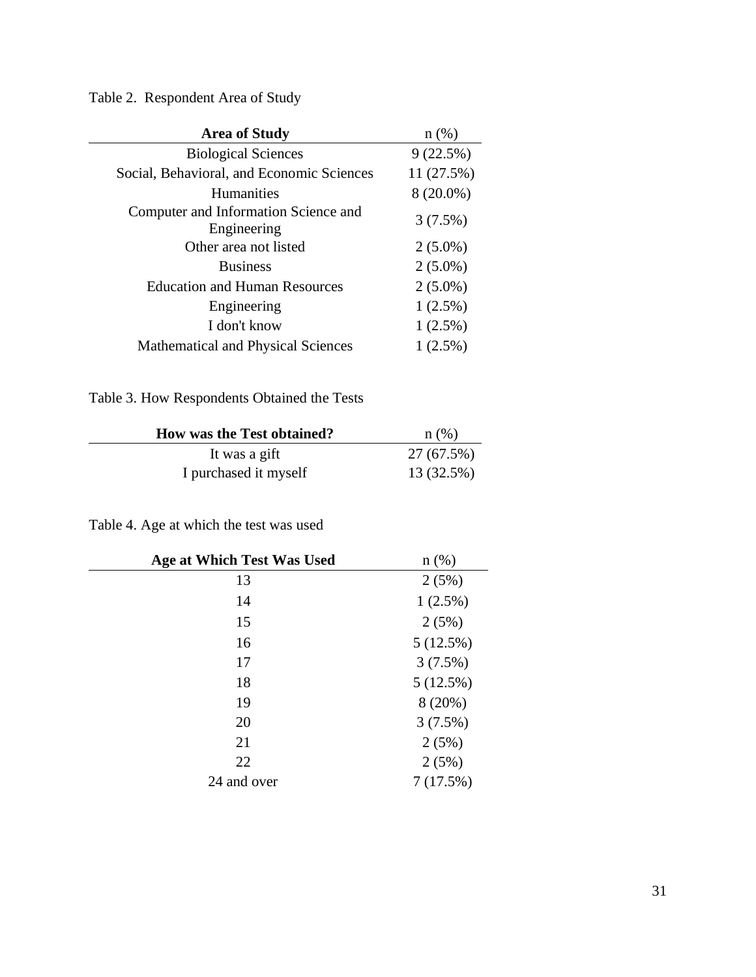Table 2. Respondent Area of Study

| <b>Area of Study</b>                                | $n(\%)$     |
|-----------------------------------------------------|-------------|
| <b>Biological Sciences</b>                          | 9(22.5%)    |
| Social, Behavioral, and Economic Sciences           | 11(27.5%)   |
| <b>Humanities</b>                                   | $8(20.0\%)$ |
| Computer and Information Science and<br>Engineering | 3(7.5%)     |
| Other area not listed                               | $2(5.0\%)$  |
| <b>Business</b>                                     | $2(5.0\%)$  |
| <b>Education and Human Resources</b>                | $2(5.0\%)$  |
| Engineering                                         | $1(2.5\%)$  |
| I don't know                                        | $1(2.5\%)$  |
| Mathematical and Physical Sciences                  | $1(2.5\%)$  |

## Table 3. How Respondents Obtained the Tests

| <b>How was the Test obtained?</b> | $n$ (%)    |
|-----------------------------------|------------|
| It was a gift                     | 27 (67.5%) |
| I purchased it myself             | 13 (32.5%) |

## Table 4. Age at which the test was used

| Age at Which Test Was Used | $n$ (%)    |
|----------------------------|------------|
| 13                         | 2(5%)      |
| 14                         | $1(2.5\%)$ |
| 15                         | 2(5%)      |
| 16                         | 5(12.5%)   |
| 17                         | 3(7.5%)    |
| 18                         | 5(12.5%)   |
| 19                         | 8(20%)     |
| 20                         | 3(7.5%)    |
| 21                         | 2(5%)      |
| 22                         | 2(5%)      |
| 24 and over                | 7(17.5%)   |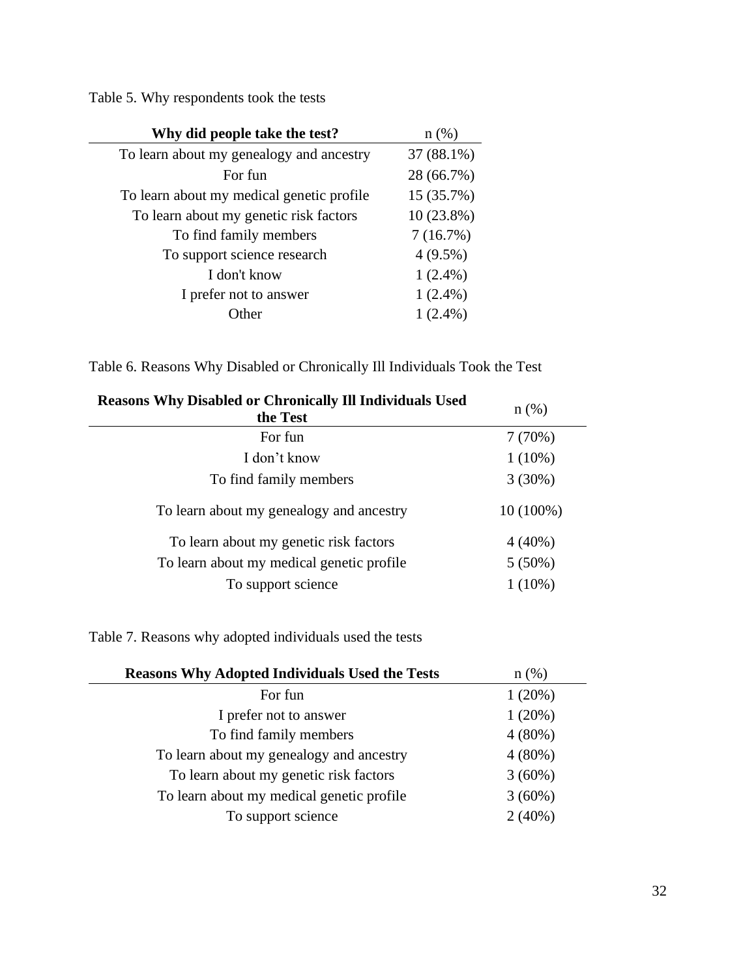Table 5. Why respondents took the tests

| Why did people take the test?             | $n(\%)$      |
|-------------------------------------------|--------------|
| To learn about my genealogy and ancestry  | 37 (88.1%)   |
| For fun                                   | 28 (66.7%)   |
| To learn about my medical genetic profile | 15 (35.7%)   |
| To learn about my genetic risk factors    | $10(23.8\%)$ |
| To find family members                    | 7(16.7%)     |
| To support science research               | $4(9.5\%)$   |
| I don't know                              | $1(2.4\%)$   |
| I prefer not to answer                    | $1(2.4\%)$   |
| ıther                                     | $1(2.4\%)$   |

Table 6. Reasons Why Disabled or Chronically Ill Individuals Took the Test

| $n$ (%)     |
|-------------|
| 7(70%)      |
| $1(10\%)$   |
| $3(30\%)$   |
| $10(100\%)$ |
| $4(40\%)$   |
| $5(50\%)$   |
| $1(10\%)$   |
|             |

Table 7. Reasons why adopted individuals used the tests

| <b>Reasons Why Adopted Individuals Used the Tests</b> | $n$ (%)   |
|-------------------------------------------------------|-----------|
| For fun                                               | 1(20%)    |
| I prefer not to answer                                | 1(20%)    |
| To find family members                                | $4(80\%)$ |
| To learn about my genealogy and ancestry              | $4(80\%)$ |
| To learn about my genetic risk factors                | $3(60\%)$ |
| To learn about my medical genetic profile             | $3(60\%)$ |
| To support science                                    | $2(40\%)$ |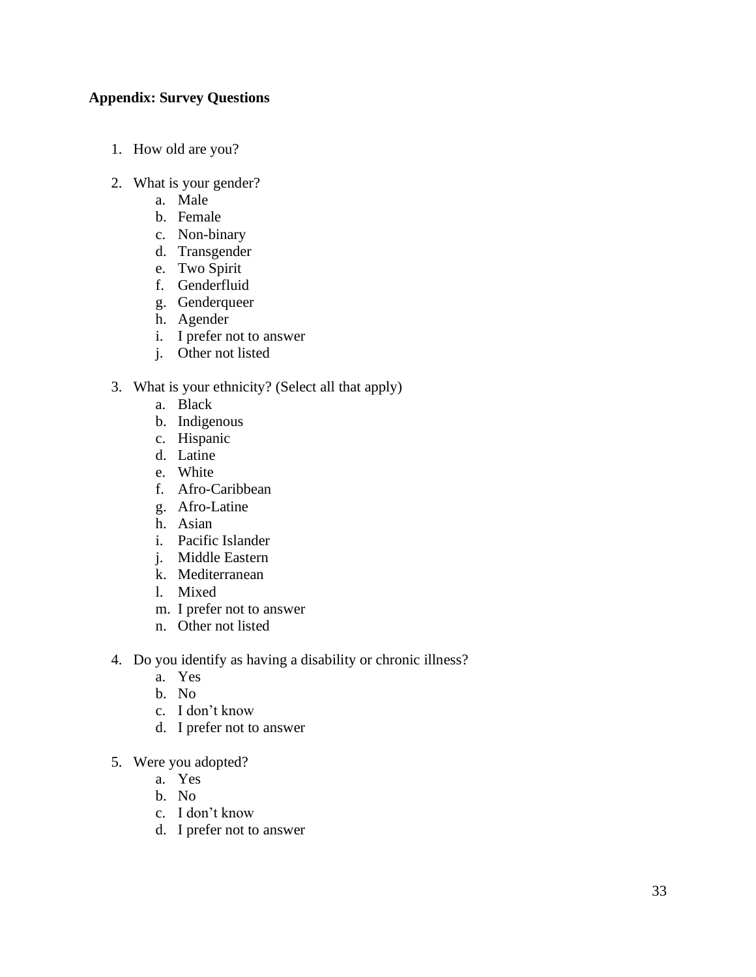#### **Appendix: Survey Questions**

- 1. How old are you?
- 2. What is your gender?
	- a. Male
	- b. Female
	- c. Non-binary
	- d. Transgender
	- e. Two Spirit
	- f. Genderfluid
	- g. Genderqueer
	- h. Agender
	- i. I prefer not to answer
	- j. Other not listed

#### 3. What is your ethnicity? (Select all that apply)

- a. Black
- b. Indigenous
- c. Hispanic
- d. Latine
- e. White
- f. Afro-Caribbean
- g. Afro-Latine
- h. Asian
- i. Pacific Islander
- j. Middle Eastern
- k. Mediterranean
- l. Mixed
- m. I prefer not to answer
- n. Other not listed
- 4. Do you identify as having a disability or chronic illness?
	- a. Yes
	- b. No
	- c. I don't know
	- d. I prefer not to answer
- 5. Were you adopted?
	- a. Yes
	- b. No
	- c. I don't know
	- d. I prefer not to answer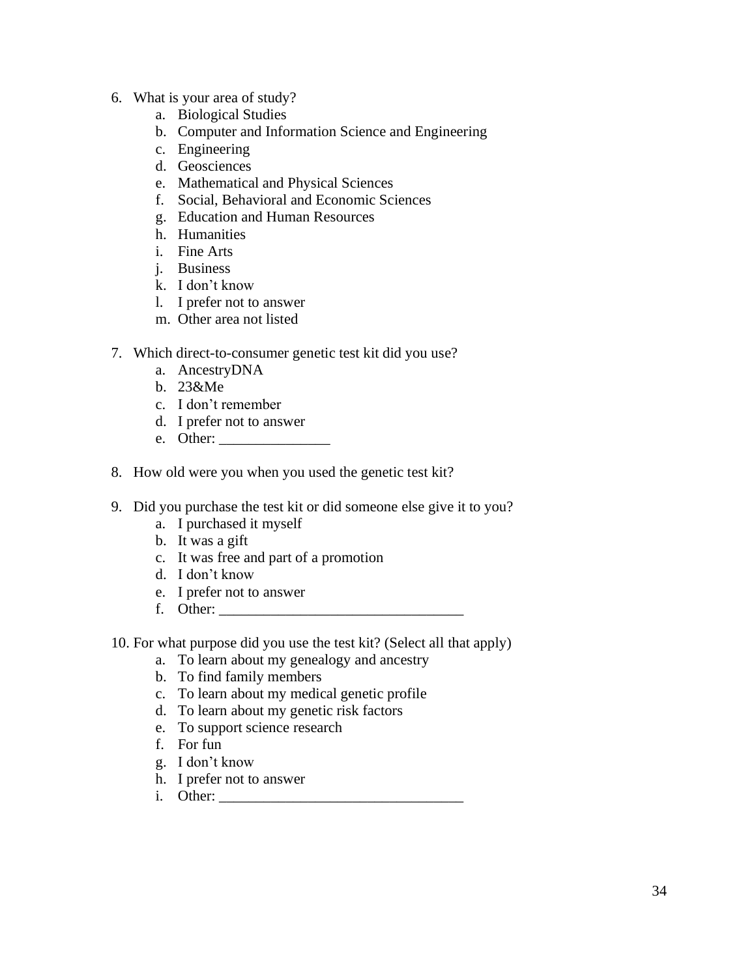- 6. What is your area of study?
	- a. Biological Studies
	- b. Computer and Information Science and Engineering
	- c. Engineering
	- d. Geosciences
	- e. Mathematical and Physical Sciences
	- f. Social, Behavioral and Economic Sciences
	- g. Education and Human Resources
	- h. Humanities
	- i. Fine Arts
	- j. Business
	- k. I don't know
	- l. I prefer not to answer
	- m. Other area not listed
- 7. Which direct-to-consumer genetic test kit did you use?
	- a. AncestryDNA
	- b. 23&Me
	- c. I don't remember
	- d. I prefer not to answer
	- e. Other:
- 8. How old were you when you used the genetic test kit?
- 9. Did you purchase the test kit or did someone else give it to you?
	- a. I purchased it myself
	- b. It was a gift
	- c. It was free and part of a promotion
	- d. I don't know
	- e. I prefer not to answer
	- f. Other: \_\_\_\_\_\_\_\_\_\_\_\_\_\_\_\_\_\_\_\_\_\_\_\_\_\_\_\_\_\_\_\_\_
- 10. For what purpose did you use the test kit? (Select all that apply)
	- a. To learn about my genealogy and ancestry
	- b. To find family members
	- c. To learn about my medical genetic profile
	- d. To learn about my genetic risk factors
	- e. To support science research
	- f. For fun
	- g. I don't know
	- h. I prefer not to answer
	- i. Other: \_\_\_\_\_\_\_\_\_\_\_\_\_\_\_\_\_\_\_\_\_\_\_\_\_\_\_\_\_\_\_\_\_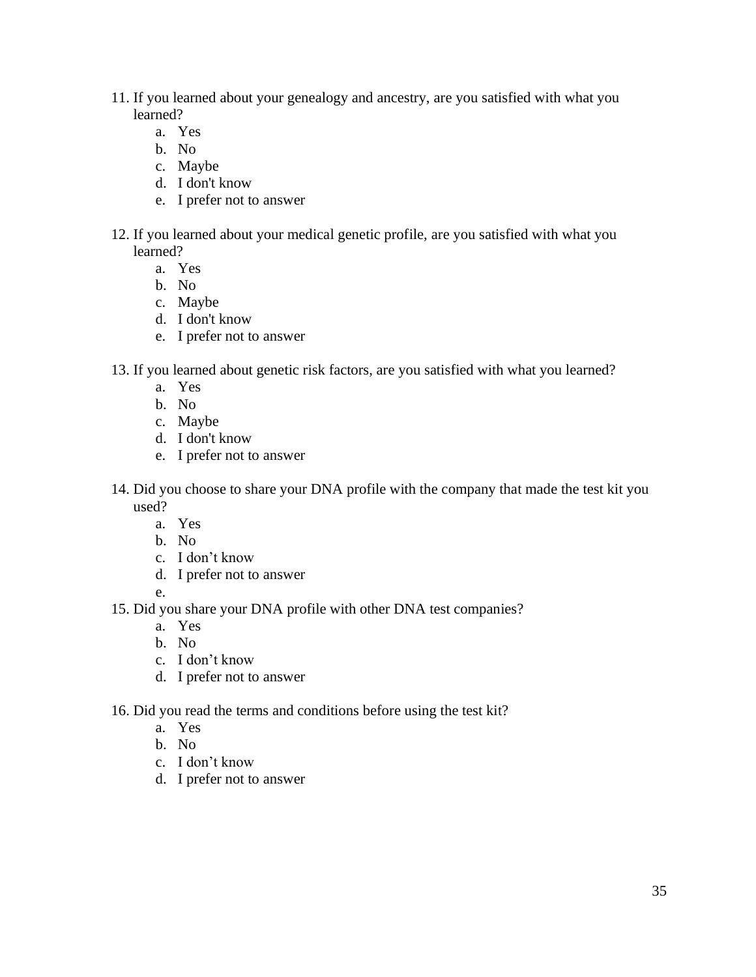- 11. If you learned about your genealogy and ancestry, are you satisfied with what you learned?
	- a. Yes
	- b. No
	- c. Maybe
	- d. I don't know
	- e. I prefer not to answer
- 12. If you learned about your medical genetic profile, are you satisfied with what you learned?
	- a. Yes
	- b. No
	- c. Maybe
	- d. I don't know
	- e. I prefer not to answer
- 13. If you learned about genetic risk factors, are you satisfied with what you learned?
	- a. Yes
	- b. No
	- c. Maybe
	- d. I don't know
	- e. I prefer not to answer
- 14. Did you choose to share your DNA profile with the company that made the test kit you used?
	- a. Yes
	- b. No
	- c. I don't know
	- d. I prefer not to answer
	- e.
- 15. Did you share your DNA profile with other DNA test companies?
	- a. Yes
	- b. No
	- c. I don't know
	- d. I prefer not to answer
- 16. Did you read the terms and conditions before using the test kit?
	- a. Yes
		- b. No
		- c. I don't know
		- d. I prefer not to answer